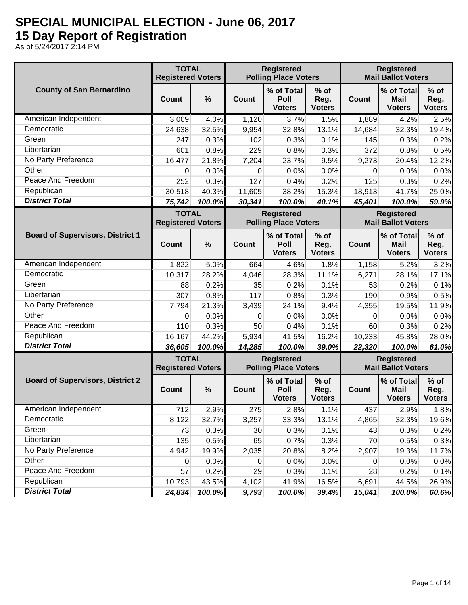## **SPECIAL MUNICIPAL ELECTION - June 06, 2017 15 Day Report of Registration**

As of 5/24/2017 2:14 PM

|                                         | <b>TOTAL</b><br><b>Registered Voters</b> |        |                | <b>Registered</b><br><b>Polling Place Voters</b> |                                 | <b>Registered</b><br><b>Mail Ballot Voters</b> |                                                |                                 |
|-----------------------------------------|------------------------------------------|--------|----------------|--------------------------------------------------|---------------------------------|------------------------------------------------|------------------------------------------------|---------------------------------|
| <b>County of San Bernardino</b>         | <b>Count</b>                             | %      | Count          | % of Total<br>Poll<br><b>Voters</b>              | $%$ of<br>Reg.<br><b>Voters</b> | Count                                          | % of Total<br><b>Mail</b><br><b>Voters</b>     | $%$ of<br>Reg.<br><b>Voters</b> |
| American Independent                    | 3,009                                    | 4.0%   | 1,120          | 3.7%                                             | 1.5%                            | 1,889                                          | 4.2%                                           | 2.5%                            |
| Democratic                              | 24,638                                   | 32.5%  | 9,954          | 32.8%                                            | 13.1%                           | 14,684                                         | 32.3%                                          | 19.4%                           |
| Green                                   | 247                                      | 0.3%   | 102            | 0.3%                                             | 0.1%                            | 145                                            | 0.3%                                           | 0.2%                            |
| Libertarian                             | 601                                      | 0.8%   | 229            | 0.8%                                             | 0.3%                            | 372                                            | 0.8%                                           | 0.5%                            |
| No Party Preference                     | 16,477                                   | 21.8%  | 7,204          | 23.7%                                            | 9.5%                            | 9,273                                          | 20.4%                                          | 12.2%                           |
| Other                                   | 0                                        | 0.0%   | 0              | 0.0%                                             | 0.0%                            | 0                                              | 0.0%                                           | 0.0%                            |
| Peace And Freedom                       | 252                                      | 0.3%   | 127            | 0.4%                                             | 0.2%                            | 125                                            | 0.3%                                           | 0.2%                            |
| Republican                              | 30,518                                   | 40.3%  | 11,605         | 38.2%                                            | 15.3%                           | 18,913                                         | 41.7%                                          | 25.0%                           |
| <b>District Total</b>                   | 75,742                                   | 100.0% | 30,341         | 100.0%                                           | 40.1%                           | 45,401                                         | 100.0%                                         | 59.9%                           |
|                                         | <b>TOTAL</b><br><b>Registered Voters</b> |        |                | <b>Registered</b><br><b>Polling Place Voters</b> |                                 |                                                | <b>Registered</b><br><b>Mail Ballot Voters</b> |                                 |
| <b>Board of Supervisors, District 1</b> | <b>Count</b>                             | $\%$   | <b>Count</b>   | % of Total<br>Poll<br><b>Voters</b>              | $%$ of<br>Reg.<br><b>Voters</b> | <b>Count</b>                                   | % of Total<br><b>Mail</b><br><b>Voters</b>     | $%$ of<br>Reg.<br><b>Voters</b> |
| American Independent                    | 1,822                                    | 5.0%   | 664            | 4.6%                                             | 1.8%                            | 1,158                                          | 5.2%                                           | 3.2%                            |
| Democratic                              | 10,317                                   | 28.2%  | 4,046          | 28.3%                                            | 11.1%                           | 6,271                                          | 28.1%                                          | 17.1%                           |
| Green                                   | 88                                       | 0.2%   | 35             | 0.2%                                             | 0.1%                            | 53                                             | 0.2%                                           | 0.1%                            |
| Libertarian                             | 307                                      | 0.8%   | 117            | 0.8%                                             | 0.3%                            | 190                                            | 0.9%                                           | 0.5%                            |
| No Party Preference                     | 7,794                                    | 21.3%  | 3,439          | 24.1%                                            | 9.4%                            | 4,355                                          | 19.5%                                          | 11.9%                           |
| Other                                   | 0                                        | 0.0%   | 0              | 0.0%                                             | 0.0%                            | 0                                              | 0.0%                                           | 0.0%                            |
| Peace And Freedom                       | 110                                      | 0.3%   | 50             | 0.4%                                             | 0.1%                            | 60                                             | 0.3%                                           | 0.2%                            |
| Republican                              | 16,167                                   | 44.2%  | 5,934          | 41.5%                                            | 16.2%                           | 10,233                                         | 45.8%                                          | 28.0%                           |
| <b>District Total</b>                   | 36,605                                   | 100.0% | 14,285         | 100.0%                                           | 39.0%                           | 22,320                                         | 100.0%                                         | 61.0%                           |
|                                         | <b>TOTAL</b><br><b>Registered Voters</b> |        |                | <b>Registered</b><br><b>Polling Place Voters</b> |                                 |                                                | <b>Registered</b><br><b>Mail Ballot Voters</b> |                                 |
| <b>Board of Supervisors, District 2</b> | Count                                    | %      | <b>Count</b>   | % of Total<br>Poll<br><b>Voters</b>              | $%$ of<br>Reg.<br><b>Voters</b> | Count                                          | % of Total<br><b>Mail</b><br><b>Voters</b>     | $%$ of<br>Reg.<br><b>Voters</b> |
| American Independent                    | 712                                      | 2.9%   | 275            | 2.8%                                             | 1.1%                            | 437                                            | 2.9%                                           | 1.8%                            |
| Democratic                              | 8,122                                    | 32.7%  | 3,257          | 33.3%                                            | 13.1%                           | 4,865                                          | 32.3%                                          | 19.6%                           |
| Green                                   | 73                                       | 0.3%   | 30             | 0.3%                                             | 0.1%                            | 43                                             | 0.3%                                           | 0.2%                            |
| Libertarian                             | 135                                      | 0.5%   | 65             | 0.7%                                             | 0.3%                            | 70                                             | 0.5%                                           | 0.3%                            |
| No Party Preference                     | 4,942                                    | 19.9%  | 2,035          | 20.8%                                            | 8.2%                            | 2,907                                          | 19.3%                                          | 11.7%                           |
| Other                                   | 0                                        | 0.0%   | $\overline{0}$ | 0.0%                                             | 0.0%                            | 0                                              | 0.0%                                           | 0.0%                            |
| Peace And Freedom                       | 57                                       | 0.2%   | 29             | 0.3%                                             | 0.1%                            | 28                                             | 0.2%                                           | 0.1%                            |
| Republican                              | 10,793                                   | 43.5%  | 4,102          | 41.9%                                            | 16.5%                           | 6,691                                          | 44.5%                                          | 26.9%                           |
| <b>District Total</b>                   | 24,834                                   | 100.0% | 9,793          | 100.0%                                           | 39.4%                           | 15,041                                         | 100.0%                                         | 60.6%                           |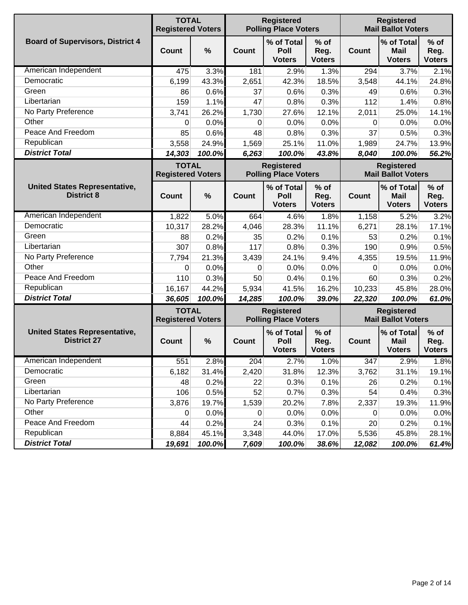|                                                            | <b>TOTAL</b><br><b>Registered Voters</b> |        |              | <b>Registered</b><br><b>Polling Place Voters</b> |                                 |              | <b>Registered</b><br><b>Mail Ballot Voters</b>               |                                 |  |  |
|------------------------------------------------------------|------------------------------------------|--------|--------------|--------------------------------------------------|---------------------------------|--------------|--------------------------------------------------------------|---------------------------------|--|--|
| <b>Board of Supervisors, District 4</b>                    | Count                                    | $\%$   | Count        | % of Total<br>Poll<br><b>Voters</b>              | $%$ of<br>Reg.<br><b>Voters</b> | <b>Count</b> | % of Total<br><b>Mail</b><br><b>Voters</b>                   | $%$ of<br>Reg.<br><b>Voters</b> |  |  |
| American Independent                                       | 475                                      | 3.3%   | 181          | 2.9%                                             | 1.3%                            | 294          | 3.7%                                                         | 2.1%                            |  |  |
| Democratic                                                 | 6,199                                    | 43.3%  | 2,651        | 42.3%                                            | 18.5%                           | 3,548        | 44.1%                                                        | 24.8%                           |  |  |
| Green                                                      | 86                                       | 0.6%   | 37           | 0.6%                                             | 0.3%                            | 49           | 0.6%                                                         | 0.3%                            |  |  |
| Libertarian                                                | 159                                      | 1.1%   | 47           | 0.8%                                             | 0.3%                            | 112          | 1.4%                                                         | 0.8%                            |  |  |
| No Party Preference                                        | 3,741                                    | 26.2%  | 1,730        | 27.6%                                            | 12.1%                           | 2,011        | 25.0%                                                        | 14.1%                           |  |  |
| Other                                                      | 0                                        | 0.0%   | 0            | 0.0%                                             | 0.0%                            | 0            | 0.0%                                                         | 0.0%                            |  |  |
| Peace And Freedom                                          | 85                                       | 0.6%   | 48           | 0.8%                                             | 0.3%                            | 37           | 0.5%                                                         | 0.3%                            |  |  |
| Republican                                                 | 3,558                                    | 24.9%  | 1,569        | 25.1%                                            | 11.0%                           | 1,989        | 24.7%                                                        | 13.9%                           |  |  |
| <b>District Total</b>                                      | 14,303                                   | 100.0% | 6,263        | 100.0%                                           | 43.8%                           | 8,040        | 100.0%                                                       | 56.2%                           |  |  |
|                                                            | <b>TOTAL</b><br><b>Registered Voters</b> |        |              | <b>Registered</b><br><b>Polling Place Voters</b> |                                 |              | <b>Registered</b><br><b>Mail Ballot Voters</b><br>% of Total |                                 |  |  |
| <b>United States Representative,</b><br><b>District 8</b>  | Count                                    | $\%$   | Count        | % of Total<br>Poll<br><b>Voters</b>              | $%$ of<br>Reg.<br><b>Voters</b> | <b>Count</b> | <b>Mail</b><br><b>Voters</b>                                 | $%$ of<br>Reg.<br><b>Voters</b> |  |  |
| American Independent                                       | 1,822                                    | 5.0%   | 664          | 4.6%                                             | 1.8%                            | 1,158        | 5.2%                                                         | 3.2%                            |  |  |
| Democratic                                                 | 10,317                                   | 28.2%  | 4,046        | 28.3%                                            | 11.1%                           | 6,271        | 28.1%                                                        | 17.1%                           |  |  |
| Green                                                      | 88                                       | 0.2%   | 35           | 0.2%                                             | 0.1%                            | 53           | 0.2%                                                         | 0.1%                            |  |  |
| Libertarian                                                | 307                                      | 0.8%   | 117          | 0.8%                                             | 0.3%                            | 190          | 0.9%                                                         | 0.5%                            |  |  |
| No Party Preference                                        | 7,794                                    | 21.3%  | 3,439        | 24.1%                                            | 9.4%                            | 4,355        | 19.5%                                                        | 11.9%                           |  |  |
| Other                                                      | 0                                        | 0.0%   | 0            | 0.0%                                             | 0.0%                            | 0            | 0.0%                                                         | 0.0%                            |  |  |
| Peace And Freedom                                          | 110                                      | 0.3%   | 50           | 0.4%                                             | 0.1%                            | 60           | 0.3%                                                         | 0.2%                            |  |  |
| Republican                                                 | 16,167                                   | 44.2%  | 5,934        | 41.5%                                            | 16.2%                           | 10,233       | 45.8%                                                        | 28.0%                           |  |  |
| <b>District Total</b>                                      | 36,605                                   | 100.0% | 14,285       | 100.0%                                           | 39.0%                           | 22,320       | 100.0%                                                       | 61.0%                           |  |  |
|                                                            | <b>TOTAL</b><br><b>Registered Voters</b> |        |              | <b>Registered</b><br><b>Polling Place Voters</b> |                                 |              | <b>Registered</b><br><b>Mail Ballot Voters</b>               |                                 |  |  |
| <b>United States Representative,</b><br><b>District 27</b> | Count                                    | $\%$   | <b>Count</b> | % of Total<br>Poll<br><b>Voters</b>              | $%$ of<br>Reg.<br><b>Voters</b> | <b>Count</b> | % of Total<br>Mail<br><b>Voters</b>                          | $%$ of<br>Reg.<br><b>Voters</b> |  |  |
| American Independent                                       | 551                                      | 2.8%   | 204          | 2.7%                                             | 1.0%                            | 347          | 2.9%                                                         | 1.8%                            |  |  |
| Democratic                                                 | 6,182                                    | 31.4%  | 2,420        | 31.8%                                            | 12.3%                           | 3,762        | 31.1%                                                        | 19.1%                           |  |  |
| Green                                                      | 48                                       | 0.2%   | 22           | 0.3%                                             | 0.1%                            | 26           | 0.2%                                                         | 0.1%                            |  |  |
| Libertarian                                                | 106                                      | 0.5%   | 52           | 0.7%                                             | 0.3%                            | 54           | 0.4%                                                         | 0.3%                            |  |  |
| No Party Preference                                        | 3,876                                    | 19.7%  | 1,539        | 20.2%                                            | 7.8%                            | 2,337        | 19.3%                                                        | 11.9%                           |  |  |
| Other                                                      | 0                                        | 0.0%   | $\mathbf 0$  | 0.0%                                             | 0.0%                            | 0            | 0.0%                                                         | 0.0%                            |  |  |
| Peace And Freedom                                          | 44                                       | 0.2%   | 24           | 0.3%                                             | 0.1%                            | 20           | 0.2%                                                         | 0.1%                            |  |  |
| Republican                                                 | 8,884                                    | 45.1%  | 3,348        | 44.0%                                            | 17.0%                           | 5,536        | 45.8%                                                        | 28.1%                           |  |  |
| <b>District Total</b>                                      | 19,691                                   | 100.0% | 7,609        | 100.0%                                           | 38.6%                           | 12,082       | 100.0%                                                       | 61.4%                           |  |  |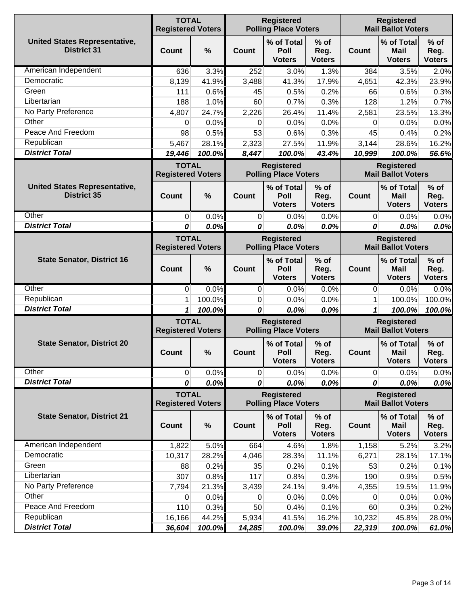|                                                            | <b>TOTAL</b><br><b>Registered Voters</b> |        |                                                                                                    | <b>Registered</b><br><b>Polling Place Voters</b> |                                 |                                                | <b>Registered</b><br><b>Mail Ballot Voters</b> |                                 |  |  |
|------------------------------------------------------------|------------------------------------------|--------|----------------------------------------------------------------------------------------------------|--------------------------------------------------|---------------------------------|------------------------------------------------|------------------------------------------------|---------------------------------|--|--|
| <b>United States Representative,</b><br><b>District 31</b> | <b>Count</b>                             | %      | Count                                                                                              | % of Total<br><b>Poll</b><br><b>Voters</b>       | $%$ of<br>Reg.<br><b>Voters</b> | <b>Count</b>                                   | % of Total<br><b>Mail</b><br><b>Voters</b>     | $%$ of<br>Reg.<br><b>Voters</b> |  |  |
| American Independent                                       | 636                                      | 3.3%   | 252                                                                                                | 3.0%                                             | 1.3%                            | 384                                            | 3.5%                                           | 2.0%                            |  |  |
| Democratic                                                 | 8,139                                    | 41.9%  | 3,488                                                                                              | 41.3%                                            | 17.9%                           | 4,651                                          | 42.3%                                          | 23.9%                           |  |  |
| Green                                                      | 111                                      | 0.6%   | 45                                                                                                 | 0.5%                                             | 0.2%                            | 66                                             | 0.6%                                           | 0.3%                            |  |  |
| Libertarian                                                | 188                                      | 1.0%   | 60                                                                                                 | 0.7%                                             | 0.3%                            | 128                                            | 1.2%                                           | 0.7%                            |  |  |
| No Party Preference                                        | 4,807                                    | 24.7%  | 2,226                                                                                              | 26.4%                                            | 11.4%                           | 2,581                                          | 23.5%                                          | 13.3%                           |  |  |
| Other                                                      | 0                                        | 0.0%   | 0                                                                                                  | 0.0%                                             | 0.0%                            | 0                                              | 0.0%                                           | 0.0%                            |  |  |
| Peace And Freedom                                          | 98                                       | 0.5%   | 53                                                                                                 | 0.6%                                             | 0.3%                            | 45                                             | 0.4%                                           | 0.2%                            |  |  |
| Republican                                                 | 5,467                                    | 28.1%  | 2,323                                                                                              | 27.5%                                            | 11.9%                           | 3,144                                          | 28.6%                                          | 16.2%                           |  |  |
| <b>District Total</b>                                      | 19,446                                   | 100.0% | 8,447                                                                                              | 100.0%                                           | 43.4%                           | 10,999                                         | 100.0%                                         | 56.6%                           |  |  |
|                                                            | <b>TOTAL</b><br><b>Registered Voters</b> |        |                                                                                                    | <b>Registered</b><br><b>Polling Place Voters</b> |                                 |                                                | <b>Registered</b><br><b>Mail Ballot Voters</b> |                                 |  |  |
| <b>United States Representative,</b><br><b>District 35</b> | Count                                    | %      | Count                                                                                              | % of Total<br>Poll<br><b>Voters</b>              | $%$ of<br>Reg.<br><b>Voters</b> | <b>Count</b>                                   | % of Total<br><b>Mail</b><br><b>Voters</b>     | $%$ of<br>Reg.<br><b>Voters</b> |  |  |
| Other                                                      | 0                                        | 0.0%   | 0                                                                                                  | 0.0%                                             | 0.0%                            | $\overline{0}$                                 | 0.0%                                           | 0.0%                            |  |  |
| <b>District Total</b>                                      | 0                                        | 0.0%   | 0                                                                                                  | 0.0%                                             | 0.0%                            | 0                                              | 0.0%                                           | 0.0%                            |  |  |
|                                                            | <b>TOTAL</b><br><b>Registered Voters</b> |        | <b>Registered</b><br><b>Registered</b><br><b>Polling Place Voters</b><br><b>Mail Ballot Voters</b> |                                                  |                                 |                                                |                                                |                                 |  |  |
| <b>State Senator, District 16</b>                          | Count                                    | %      | <b>Count</b>                                                                                       | % of Total<br>Poll<br><b>Voters</b>              | $%$ of<br>Reg.<br><b>Voters</b> | <b>Count</b>                                   | % of Total<br><b>Mail</b><br><b>Voters</b>     | $%$ of<br>Reg.<br><b>Voters</b> |  |  |
| Other                                                      | 0                                        | 0.0%   | 0                                                                                                  | 0.0%                                             | 0.0%                            | 0                                              | 0.0%                                           | 0.0%                            |  |  |
| Republican                                                 | 1                                        | 100.0% | 0                                                                                                  | 0.0%                                             | 0.0%                            | 1                                              | 100.0%                                         | 100.0%                          |  |  |
| <b>District Total</b>                                      | 1                                        | 100.0% | 0                                                                                                  | 0.0%                                             | 0.0%                            | 1                                              | 100.0%                                         | 100.0%                          |  |  |
|                                                            | <b>TOTAL</b><br><b>Registered Voters</b> |        |                                                                                                    | <b>Registered</b><br><b>Polling Place Voters</b> |                                 | <b>Registered</b><br><b>Mail Ballot Voters</b> |                                                |                                 |  |  |
| <b>State Senator, District 20</b>                          | <b>Count</b>                             | %      | Count                                                                                              | % of Total<br><b>Poll</b><br><b>Voters</b>       | $%$ of<br>Reg.<br><b>Voters</b> | <b>Count</b>                                   | % of Total<br><b>Mail</b><br><b>Voters</b>     | $%$ of<br>Reg.<br><b>Voters</b> |  |  |
| Other                                                      | $\overline{0}$                           | 0.0%   | $\overline{0}$                                                                                     | 0.0%                                             | 0.0%                            | $\overline{0}$                                 | 0.0%                                           | 0.0%                            |  |  |
| <b>District Total</b>                                      | 0                                        | 0.0%   | 0                                                                                                  | 0.0%                                             | 0.0%                            | 0                                              | 0.0%                                           | 0.0%                            |  |  |
|                                                            | <b>TOTAL</b><br><b>Registered Voters</b> |        |                                                                                                    | <b>Registered</b><br><b>Polling Place Voters</b> |                                 |                                                | <b>Registered</b><br><b>Mail Ballot Voters</b> |                                 |  |  |
| <b>State Senator, District 21</b>                          | Count                                    | $\%$   | Count                                                                                              | % of Total<br>Poll<br><b>Voters</b>              | $%$ of<br>Reg.<br><b>Voters</b> | Count                                          | % of Total<br><b>Mail</b><br><b>Voters</b>     | $%$ of<br>Reg.<br><b>Voters</b> |  |  |
| American Independent                                       | 1,822                                    | 5.0%   | 664                                                                                                | 4.6%                                             | 1.8%                            | 1,158                                          | 5.2%                                           | 3.2%                            |  |  |
| Democratic                                                 | 10,317                                   | 28.2%  | 4,046                                                                                              | 28.3%                                            | 11.1%                           | 6,271                                          | 28.1%                                          | 17.1%                           |  |  |
| Green                                                      | 88                                       | 0.2%   | 35                                                                                                 | 0.2%                                             | 0.1%                            | 53                                             | 0.2%                                           | 0.1%                            |  |  |
| Libertarian                                                | 307                                      | 0.8%   | 117                                                                                                | 0.8%                                             | 0.3%                            | 190                                            | 0.9%                                           | 0.5%                            |  |  |
| No Party Preference                                        | 7,794                                    | 21.3%  | 3,439                                                                                              | 24.1%                                            | 9.4%                            | 4,355                                          | 19.5%                                          | 11.9%                           |  |  |
| Other                                                      | 0                                        | 0.0%   | 0                                                                                                  | 0.0%                                             | 0.0%                            | 0                                              | 0.0%                                           | 0.0%                            |  |  |
| Peace And Freedom                                          | 110                                      | 0.3%   | 50                                                                                                 | 0.4%                                             | 0.1%                            | 60                                             | 0.3%                                           | 0.2%                            |  |  |
| Republican                                                 | 16,166                                   | 44.2%  | 5,934                                                                                              | 41.5%                                            | 16.2%                           | 10,232                                         | 45.8%                                          | 28.0%                           |  |  |
| <b>District Total</b>                                      | 36,604                                   | 100.0% | 14,285                                                                                             | 100.0%                                           | 39.0%                           | 22,319                                         | 100.0%                                         | 61.0%                           |  |  |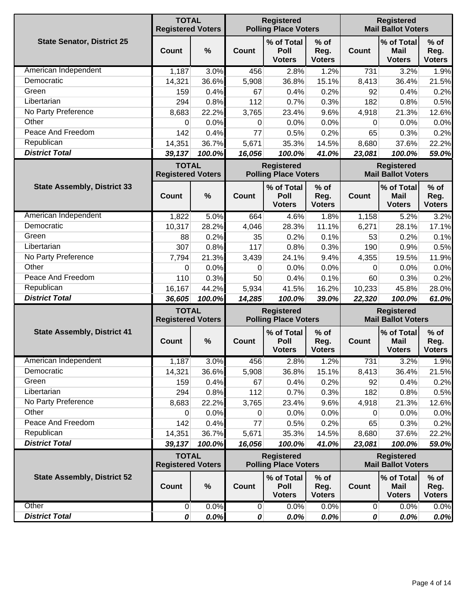|                                    | <b>TOTAL</b><br><b>Registered Voters</b> |                                                                                                    |              | <b>Registered</b><br><b>Polling Place Voters</b> |                                 | <b>Registered</b><br><b>Mail Ballot Voters</b> |                                                |                                 |
|------------------------------------|------------------------------------------|----------------------------------------------------------------------------------------------------|--------------|--------------------------------------------------|---------------------------------|------------------------------------------------|------------------------------------------------|---------------------------------|
| <b>State Senator, District 25</b>  | <b>Count</b>                             | %                                                                                                  | <b>Count</b> | % of Total<br>Poll<br><b>Voters</b>              | $%$ of<br>Reg.<br><b>Voters</b> | Count                                          | % of Total<br><b>Mail</b><br><b>Voters</b>     | $%$ of<br>Reg.<br><b>Voters</b> |
| American Independent               | 1,187                                    | 3.0%                                                                                               | 456          | 2.8%                                             | 1.2%                            | 731                                            | 3.2%                                           | 1.9%                            |
| Democratic                         | 14,321                                   | 36.6%                                                                                              | 5,908        | 36.8%                                            | 15.1%                           | 8,413                                          | 36.4%                                          | 21.5%                           |
| Green                              | 159                                      | 0.4%                                                                                               | 67           | 0.4%                                             | 0.2%                            | 92                                             | 0.4%                                           | 0.2%                            |
| Libertarian                        | 294                                      | 0.8%                                                                                               | 112          | 0.7%                                             | 0.3%                            | 182                                            | 0.8%                                           | 0.5%                            |
| No Party Preference                | 8,683                                    | 22.2%                                                                                              | 3,765        | 23.4%                                            | 9.6%                            | 4,918                                          | 21.3%                                          | 12.6%                           |
| Other                              | 0                                        | 0.0%                                                                                               | 0            | 0.0%                                             | 0.0%                            | 0                                              | 0.0%                                           | 0.0%                            |
| Peace And Freedom                  | 142                                      | 0.4%                                                                                               | 77           | 0.5%                                             | 0.2%                            | 65                                             | 0.3%                                           | 0.2%                            |
| Republican                         | 14,351                                   | 36.7%                                                                                              | 5,671        | 35.3%                                            | 14.5%                           | 8,680                                          | 37.6%                                          | 22.2%                           |
| <b>District Total</b>              | 39,137                                   | 100.0%                                                                                             | 16,056       | 100.0%                                           | 41.0%                           | 23,081                                         | 100.0%                                         | 59.0%                           |
|                                    | <b>TOTAL</b><br><b>Registered Voters</b> |                                                                                                    |              | <b>Registered</b><br><b>Polling Place Voters</b> |                                 |                                                | <b>Registered</b><br><b>Mail Ballot Voters</b> |                                 |
| <b>State Assembly, District 33</b> | <b>Count</b>                             | $\frac{0}{0}$                                                                                      | Count        | % of Total<br>Poll<br><b>Voters</b>              | $%$ of<br>Reg.<br><b>Voters</b> | <b>Count</b>                                   | % of Total<br><b>Mail</b><br><b>Voters</b>     | $%$ of<br>Reg.<br><b>Voters</b> |
| American Independent               | 1,822                                    | 5.0%                                                                                               | 664          | 4.6%                                             | 1.8%                            | 1,158                                          | 5.2%                                           | 3.2%                            |
| Democratic                         | 10,317                                   | 28.2%                                                                                              | 4,046        | 28.3%                                            | 11.1%                           | 6,271                                          | 28.1%                                          | 17.1%                           |
| Green                              | 88                                       | 0.2%                                                                                               | 35           | 0.2%                                             | 0.1%                            | 53                                             | 0.2%                                           | 0.1%                            |
| Libertarian                        | 307                                      | 0.8%                                                                                               | 117          | 0.8%                                             | 0.3%                            | 190                                            | 0.9%                                           | 0.5%                            |
| No Party Preference                | 7,794                                    | 21.3%                                                                                              | 3,439        | 24.1%                                            | 9.4%                            | 4,355                                          | 19.5%                                          | 11.9%                           |
| Other                              | 0                                        | 0.0%                                                                                               | $\Omega$     | 0.0%                                             | 0.0%                            | 0                                              | 0.0%                                           | 0.0%                            |
| Peace And Freedom                  | 110                                      | 0.3%                                                                                               | 50           | 0.4%                                             | 0.1%                            | 60                                             | 0.3%                                           | 0.2%                            |
| Republican                         | 16,167                                   | 44.2%                                                                                              | 5,934        | 41.5%                                            | 16.2%                           | 10,233                                         | 45.8%                                          | 28.0%                           |
| <b>District Total</b>              | 36,605                                   | 100.0%                                                                                             | 14,285       | 100.0%                                           | 39.0%                           | 22,320                                         | 100.0%                                         | 61.0%                           |
|                                    | <b>TOTAL</b><br><b>Registered Voters</b> | <b>Registered</b><br><b>Registered</b><br><b>Polling Place Voters</b><br><b>Mail Ballot Voters</b> |              |                                                  |                                 |                                                |                                                |                                 |
| <b>State Assembly, District 41</b> | Count                                    | $\%$                                                                                               | Count        | % of Total<br>Poll<br><b>Voters</b>              | $%$ of<br>Reg.<br><b>Voters</b> | Count                                          | % of Total<br><b>Mail</b><br><b>Voters</b>     | $%$ of<br>Reg.<br><b>Voters</b> |
| American Independent               | 1,187                                    | 3.0%                                                                                               | 456          | 2.8%                                             | 1.2%                            | 731                                            | 3.2%                                           | 1.9%                            |
| Democratic                         | 14,321                                   | 36.6%                                                                                              | 5,908        | 36.8%                                            | 15.1%                           | 8,413                                          | 36.4%                                          | 21.5%                           |
| Green                              | 159                                      | 0.4%                                                                                               | 67           | 0.4%                                             | 0.2%                            | 92                                             | 0.4%                                           | 0.2%                            |
| Libertarian                        | 294                                      | 0.8%                                                                                               | 112          | 0.7%                                             | 0.3%                            | 182                                            | 0.8%                                           | 0.5%                            |
| No Party Preference                | 8,683                                    | 22.2%                                                                                              | 3,765        | 23.4%                                            | 9.6%                            | 4,918                                          | 21.3%                                          | 12.6%                           |
| Other                              | 0                                        | 0.0%                                                                                               | 0            | 0.0%                                             | 0.0%                            | 0                                              | 0.0%                                           | 0.0%                            |
| Peace And Freedom                  | 142                                      | 0.4%                                                                                               | 77           | 0.5%                                             | 0.2%                            | 65                                             | 0.3%                                           | 0.2%                            |
| Republican                         | 14,351                                   | 36.7%                                                                                              | 5,671        | 35.3%                                            | 14.5%                           | 8,680                                          | 37.6%                                          | 22.2%                           |
| <b>District Total</b>              | 39,137                                   | 100.0%                                                                                             | 16,056       | 100.0%                                           | 41.0%                           | 23,081                                         | 100.0%                                         | 59.0%                           |
|                                    | <b>TOTAL</b><br><b>Registered Voters</b> |                                                                                                    |              | <b>Registered</b><br><b>Polling Place Voters</b> |                                 |                                                | <b>Registered</b><br><b>Mail Ballot Voters</b> |                                 |
| <b>State Assembly, District 52</b> | <b>Count</b>                             | $\%$                                                                                               | <b>Count</b> | % of Total<br>Poll<br><b>Voters</b>              | $%$ of<br>Reg.<br><b>Voters</b> | <b>Count</b>                                   | % of Total<br><b>Mail</b><br><b>Voters</b>     | $%$ of<br>Reg.<br><b>Voters</b> |
| Other                              | 0                                        | 0.0%                                                                                               | $\pmb{0}$    | 0.0%                                             | 0.0%                            | $\overline{0}$                                 | 0.0%                                           | 0.0%                            |
| <b>District Total</b>              | 0                                        | 0.0%                                                                                               | 0            | 0.0%                                             | 0.0%                            | $\boldsymbol{o}$                               | 0.0%                                           | 0.0%                            |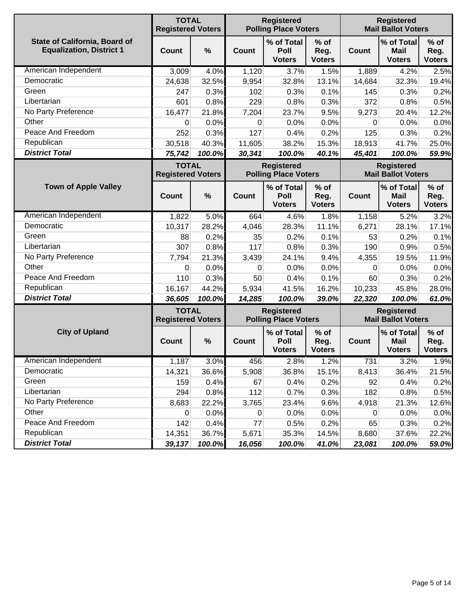|                                                                         | <b>TOTAL</b><br><b>Registered</b><br><b>Polling Place Voters</b><br><b>Registered Voters</b> |        |              |                                                  |                                 | <b>Registered</b><br><b>Mail Ballot Voters</b> |                                                |                                 |
|-------------------------------------------------------------------------|----------------------------------------------------------------------------------------------|--------|--------------|--------------------------------------------------|---------------------------------|------------------------------------------------|------------------------------------------------|---------------------------------|
| <b>State of California, Board of</b><br><b>Equalization, District 1</b> | <b>Count</b>                                                                                 | %      | <b>Count</b> | % of Total<br>Poll<br><b>Voters</b>              | $%$ of<br>Reg.<br><b>Voters</b> | Count                                          | % of Total<br>Mail<br><b>Voters</b>            | $%$ of<br>Reg.<br><b>Voters</b> |
| American Independent                                                    | 3,009                                                                                        | 4.0%   | 1,120        | 3.7%                                             | 1.5%                            | 1,889                                          | 4.2%                                           | 2.5%                            |
| Democratic                                                              | 24,638                                                                                       | 32.5%  | 9,954        | 32.8%                                            | 13.1%                           | 14,684                                         | 32.3%                                          | 19.4%                           |
| Green                                                                   | 247                                                                                          | 0.3%   | 102          | 0.3%                                             | 0.1%                            | 145                                            | 0.3%                                           | 0.2%                            |
| Libertarian                                                             | 601                                                                                          | 0.8%   | 229          | 0.8%                                             | 0.3%                            | 372                                            | 0.8%                                           | 0.5%                            |
| No Party Preference                                                     | 16,477                                                                                       | 21.8%  | 7,204        | 23.7%                                            | 9.5%                            | 9,273                                          | 20.4%                                          | 12.2%                           |
| Other                                                                   | 0                                                                                            | 0.0%   | 0            | 0.0%                                             | 0.0%                            | 0                                              | 0.0%                                           | 0.0%                            |
| Peace And Freedom                                                       | 252                                                                                          | 0.3%   | 127          | 0.4%                                             | 0.2%                            | 125                                            | 0.3%                                           | 0.2%                            |
| Republican                                                              | 30,518                                                                                       | 40.3%  | 11,605       | 38.2%                                            | 15.3%                           | 18,913                                         | 41.7%                                          | 25.0%                           |
| <b>District Total</b>                                                   | 75,742                                                                                       | 100.0% | 30,341       | 100.0%                                           | 40.1%                           | 45,401                                         | 100.0%                                         | 59.9%                           |
|                                                                         | <b>TOTAL</b><br><b>Registered Voters</b>                                                     |        |              | <b>Registered</b><br><b>Polling Place Voters</b> |                                 |                                                | <b>Registered</b><br><b>Mail Ballot Voters</b> |                                 |
| <b>Town of Apple Valley</b>                                             | Count                                                                                        | %      | Count        | % of Total<br>Poll<br><b>Voters</b>              | $%$ of<br>Reg.<br><b>Voters</b> | <b>Count</b>                                   | % of Total<br><b>Mail</b><br><b>Voters</b>     | $%$ of<br>Reg.<br><b>Voters</b> |
| American Independent                                                    | 1,822                                                                                        | 5.0%   | 664          | 4.6%                                             | 1.8%                            | 1,158                                          | 5.2%                                           | 3.2%                            |
| Democratic                                                              | 10,317                                                                                       | 28.2%  | 4,046        | 28.3%                                            | 11.1%                           | 6,271                                          | 28.1%                                          | 17.1%                           |
| Green                                                                   | 88                                                                                           | 0.2%   | 35           | 0.2%                                             | 0.1%                            | 53                                             | 0.2%                                           | 0.1%                            |
| Libertarian                                                             | 307                                                                                          | 0.8%   | 117          | 0.8%                                             | 0.3%                            | 190                                            | 0.9%                                           | 0.5%                            |
| No Party Preference                                                     | 7,794                                                                                        | 21.3%  | 3,439        | 24.1%                                            | 9.4%                            | 4,355                                          | 19.5%                                          | 11.9%                           |
| Other                                                                   | 0                                                                                            | 0.0%   | 0            | 0.0%                                             | 0.0%                            | 0                                              | 0.0%                                           | 0.0%                            |
| Peace And Freedom                                                       | 110                                                                                          | 0.3%   | 50           | 0.4%                                             | 0.1%                            | 60                                             | 0.3%                                           | 0.2%                            |
| Republican                                                              | 16,167                                                                                       | 44.2%  | 5,934        | 41.5%                                            | 16.2%                           | 10,233                                         | 45.8%                                          | 28.0%                           |
| <b>District Total</b>                                                   | 36,605                                                                                       | 100.0% | 14,285       | 100.0%                                           | 39.0%                           | 22,320                                         | 100.0%                                         | 61.0%                           |
|                                                                         | <b>TOTAL</b><br><b>Registered Voters</b>                                                     |        |              | <b>Registered</b><br><b>Polling Place Voters</b> |                                 |                                                | <b>Registered</b><br><b>Mail Ballot Voters</b> |                                 |
| <b>City of Upland</b>                                                   | Count                                                                                        | %      | Count        | % of Total<br>Poll<br><b>Voters</b>              | $%$ of<br>Reg.<br><b>Voters</b> | <b>Count</b>                                   | % of Total<br><b>Mail</b><br><b>Voters</b>     | $%$ of<br>Reg.<br><b>Voters</b> |
| American Independent                                                    | 1,187                                                                                        | 3.0%   | 456          | 2.8%                                             | 1.2%                            | 731                                            | 3.2%                                           | 1.9%                            |
| Democratic                                                              | 14,321                                                                                       | 36.6%  | 5,908        | 36.8%                                            | 15.1%                           | 8,413                                          | 36.4%                                          | 21.5%                           |
| Green                                                                   | 159                                                                                          | 0.4%   | 67           | 0.4%                                             | 0.2%                            | 92                                             | 0.4%                                           | 0.2%                            |
| Libertarian                                                             | 294                                                                                          | 0.8%   | 112          | 0.7%                                             | 0.3%                            | 182                                            | 0.8%                                           | 0.5%                            |
| No Party Preference                                                     | 8,683                                                                                        | 22.2%  | 3,765        | 23.4%                                            | 9.6%                            | 4,918                                          | 21.3%                                          | 12.6%                           |
| Other                                                                   | 0                                                                                            | 0.0%   | 0            | 0.0%                                             | 0.0%                            | $\mathbf{0}$                                   | 0.0%                                           | 0.0%                            |
| Peace And Freedom                                                       | 142                                                                                          | 0.4%   | 77           | 0.5%                                             | 0.2%                            | 65                                             | 0.3%                                           | 0.2%                            |
| Republican                                                              | 14,351                                                                                       | 36.7%  | 5,671        | 35.3%                                            | 14.5%                           | 8,680                                          | 37.6%                                          | 22.2%                           |
| <b>District Total</b>                                                   | 39,137                                                                                       | 100.0% | 16,056       | 100.0%                                           | 41.0%                           | 23,081                                         | 100.0%                                         | 59.0%                           |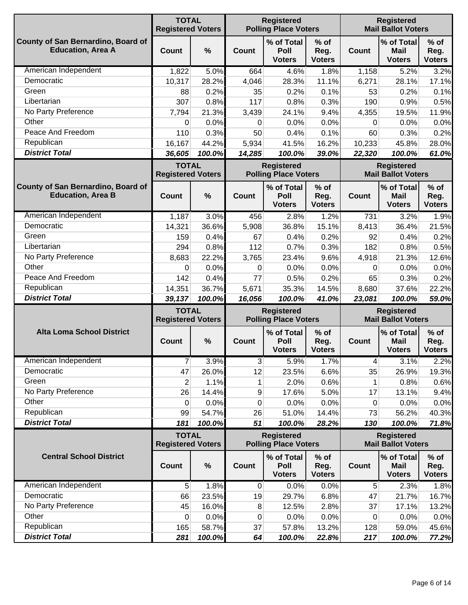|                                                                | <b>TOTAL</b><br><b>Registered Voters</b> |                                                                                              |                | <b>Registered</b><br><b>Polling Place Voters</b> |                                 |                                                | <b>Registered</b><br><b>Mail Ballot Voters</b> |                                 |
|----------------------------------------------------------------|------------------------------------------|----------------------------------------------------------------------------------------------|----------------|--------------------------------------------------|---------------------------------|------------------------------------------------|------------------------------------------------|---------------------------------|
| County of San Bernardino, Board of<br><b>Education, Area A</b> | Count                                    | $\frac{0}{0}$                                                                                | Count          | % of Total<br>Poll<br><b>Voters</b>              | % of<br>Reg.<br><b>Voters</b>   | Count                                          | % of Total<br><b>Mail</b><br><b>Voters</b>     | $%$ of<br>Reg.<br><b>Voters</b> |
| American Independent                                           | 1,822                                    | 5.0%                                                                                         | 664            | 4.6%                                             | 1.8%                            | 1,158                                          | 5.2%                                           | 3.2%                            |
| Democratic                                                     | 10,317                                   | 28.2%                                                                                        | 4,046          | 28.3%                                            | 11.1%                           | 6,271                                          | 28.1%                                          | 17.1%                           |
| Green                                                          | 88                                       | 0.2%                                                                                         | 35             | 0.2%                                             | 0.1%                            | 53                                             | 0.2%                                           | 0.1%                            |
| Libertarian                                                    | 307                                      | 0.8%                                                                                         | 117            | 0.8%                                             | 0.3%                            | 190                                            | 0.9%                                           | 0.5%                            |
| No Party Preference                                            | 7,794                                    | 21.3%                                                                                        | 3,439          | 24.1%                                            | 9.4%                            | 4,355                                          | 19.5%                                          | 11.9%                           |
| Other                                                          | 0                                        | 0.0%                                                                                         | $\Omega$       | 0.0%                                             | 0.0%                            | 0                                              | 0.0%                                           | 0.0%                            |
| Peace And Freedom                                              | 110                                      | 0.3%                                                                                         | 50             | 0.4%                                             | 0.1%                            | 60                                             | 0.3%                                           | 0.2%                            |
| Republican                                                     | 16,167                                   | 44.2%                                                                                        | 5,934          | 41.5%                                            | 16.2%                           | 10,233                                         | 45.8%                                          | 28.0%                           |
| <b>District Total</b>                                          | 36,605                                   | 100.0%                                                                                       | 14,285         | 100.0%                                           | 39.0%                           | 22,320                                         | 100.0%                                         | 61.0%                           |
|                                                                | <b>TOTAL</b><br><b>Registered Voters</b> |                                                                                              |                | <b>Registered</b><br><b>Polling Place Voters</b> |                                 |                                                | <b>Registered</b><br><b>Mail Ballot Voters</b> |                                 |
| County of San Bernardino, Board of<br><b>Education, Area B</b> | Count                                    | $\frac{0}{0}$                                                                                | <b>Count</b>   | % of Total<br>Poll<br><b>Voters</b>              | $%$ of<br>Reg.<br><b>Voters</b> | Count                                          | % of Total<br><b>Mail</b><br><b>Voters</b>     | $%$ of<br>Reg.<br><b>Voters</b> |
| American Independent                                           | 1,187                                    | 3.0%                                                                                         | 456            | 2.8%                                             | 1.2%                            | 731                                            | 3.2%                                           | 1.9%                            |
| Democratic                                                     | 14,321                                   | 36.6%                                                                                        | 5,908          | 36.8%                                            | 15.1%                           | 8,413                                          | 36.4%                                          | 21.5%                           |
| Green                                                          | 159                                      | 0.4%                                                                                         | 67             | 0.4%                                             | 0.2%                            | 92                                             | 0.4%                                           | 0.2%                            |
| Libertarian                                                    | 294                                      | 0.8%                                                                                         | 112            | 0.7%                                             | 0.3%                            | 182                                            | 0.8%                                           | 0.5%                            |
| No Party Preference                                            | 8,683                                    | 22.2%                                                                                        | 3,765          | 23.4%                                            | 9.6%                            | 4,918                                          | 21.3%                                          | 12.6%                           |
| Other                                                          | 0                                        | 0.0%                                                                                         | 0              | 0.0%                                             | 0.0%                            | 0                                              | 0.0%                                           | 0.0%                            |
| Peace And Freedom                                              | 142                                      | 0.4%                                                                                         | 77             | 0.5%                                             | 0.2%                            | 65                                             | 0.3%                                           | 0.2%                            |
| Republican                                                     | 14,351                                   | 36.7%                                                                                        | 5,671          | 35.3%                                            | 14.5%                           | 8,680                                          | 37.6%                                          | 22.2%                           |
| <b>District Total</b>                                          | 39,137                                   | 100.0%                                                                                       | 16,056         | 100.0%                                           | 41.0%                           | 23,081                                         | 100.0%                                         | 59.0%                           |
|                                                                |                                          | <b>TOTAL</b><br><b>Registered</b><br><b>Polling Place Voters</b><br><b>Registered Voters</b> |                |                                                  |                                 | <b>Registered</b><br><b>Mail Ballot Voters</b> |                                                |                                 |
| <b>Alta Loma School District</b>                               | Count                                    | $\frac{0}{0}$                                                                                | <b>Count</b>   | % of Total<br><b>Poll</b><br><b>Voters</b>       | $%$ of<br>Reg.<br><b>Voters</b> | <b>Count</b>                                   | % of Total<br><b>Mail</b><br><b>Voters</b>     | $%$ of<br>Reg.<br><b>Voters</b> |
| American Independent                                           | 7                                        | 3.9%                                                                                         | $\mathbf{3}$   | 5.9%                                             | 1.7%                            | 4                                              | 3.1%                                           | 2.2%                            |
| Democratic                                                     | 47                                       | 26.0%                                                                                        | 12             | 23.5%                                            | 6.6%                            | 35                                             | 26.9%                                          | 19.3%                           |
| Green                                                          | $\overline{2}$                           | 1.1%                                                                                         | 1              | 2.0%                                             | 0.6%                            | 1                                              | 0.8%                                           | 0.6%                            |
| No Party Preference                                            | 26                                       | 14.4%                                                                                        | 9              | 17.6%                                            | 5.0%                            | 17                                             | 13.1%                                          | 9.4%                            |
| Other                                                          | 0                                        | 0.0%                                                                                         | 0              | 0.0%                                             | 0.0%                            | 0                                              | 0.0%                                           | 0.0%                            |
| Republican                                                     | 99                                       | 54.7%                                                                                        | 26             | 51.0%                                            | 14.4%                           | 73                                             | 56.2%                                          | 40.3%                           |
| <b>District Total</b>                                          | 181                                      | 100.0%                                                                                       | 51             | 100.0%                                           | 28.2%                           | 130                                            | 100.0%                                         | 71.8%                           |
|                                                                | <b>TOTAL</b><br><b>Registered Voters</b> |                                                                                              |                | <b>Registered</b><br><b>Polling Place Voters</b> |                                 |                                                | <b>Registered</b><br><b>Mail Ballot Voters</b> |                                 |
| <b>Central School District</b>                                 | <b>Count</b>                             | $\%$                                                                                         | Count          | % of Total<br>Poll<br><b>Voters</b>              | $%$ of<br>Reg.<br><b>Voters</b> | Count                                          | % of Total<br><b>Mail</b><br><b>Voters</b>     | $%$ of<br>Reg.<br><b>Voters</b> |
| American Independent                                           | 5 <sup>5</sup>                           | 1.8%                                                                                         | $\overline{0}$ | 0.0%                                             | 0.0%                            | 5                                              | 2.3%                                           | 1.8%                            |
| Democratic                                                     | 66                                       | 23.5%                                                                                        | 19             | 29.7%                                            | 6.8%                            | 47                                             | 21.7%                                          | 16.7%                           |
| No Party Preference                                            | 45                                       | 16.0%                                                                                        | 8              | 12.5%                                            | 2.8%                            | 37                                             | 17.1%                                          | 13.2%                           |
| Other                                                          | 0                                        | 0.0%                                                                                         | 0              | 0.0%                                             | 0.0%                            | 0                                              | 0.0%                                           | 0.0%                            |
| Republican                                                     | 165                                      | 58.7%                                                                                        | 37             | 57.8%                                            | 13.2%                           | 128                                            | 59.0%                                          | 45.6%                           |
| <b>District Total</b>                                          | 281                                      | 100.0%                                                                                       | 64             | 100.0%                                           | 22.8%                           | 217                                            | 100.0%                                         | 77.2%                           |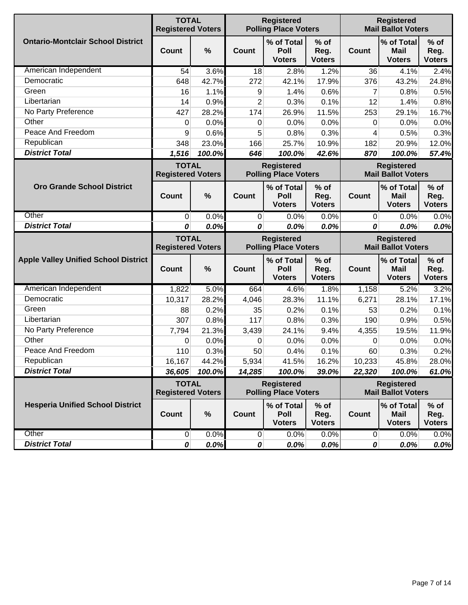|                                             | <b>TOTAL</b><br><b>Registered Voters</b> |              |                | <b>Registered</b><br><b>Polling Place Voters</b> |                                 |                 | <b>Registered</b><br><b>Mail Ballot Voters</b> |                                 |
|---------------------------------------------|------------------------------------------|--------------|----------------|--------------------------------------------------|---------------------------------|-----------------|------------------------------------------------|---------------------------------|
| <b>Ontario-Montclair School District</b>    | <b>Count</b>                             | %            | Count          | % of Total<br>Poll<br><b>Voters</b>              | $%$ of<br>Reg.<br><b>Voters</b> | <b>Count</b>    | % of Total<br><b>Mail</b><br><b>Voters</b>     | $%$ of<br>Reg.<br><b>Voters</b> |
| American Independent                        | 54                                       | 3.6%         | 18             | 2.8%                                             | 1.2%                            | 36              | 4.1%                                           | 2.4%                            |
| Democratic                                  | 648                                      | 42.7%        | 272            | 42.1%                                            | 17.9%                           | 376             | 43.2%                                          | 24.8%                           |
| Green                                       | 16                                       | 1.1%         | 9              | 1.4%                                             | 0.6%                            | 7               | 0.8%                                           | 0.5%                            |
| Libertarian                                 | 14                                       | 0.9%         | $\overline{2}$ | 0.3%                                             | 0.1%                            | 12              | 1.4%                                           | 0.8%                            |
| No Party Preference                         | 427                                      | 28.2%        | 174            | 26.9%                                            | 11.5%                           | 253             | 29.1%                                          | 16.7%                           |
| Other                                       | 0                                        | 0.0%         | 0              | 0.0%                                             | 0.0%                            | 0               | 0.0%                                           | 0.0%                            |
| Peace And Freedom                           | 9                                        | 0.6%         | 5              | 0.8%                                             | 0.3%                            | 4               | 0.5%                                           | 0.3%                            |
| Republican                                  | 348                                      | 23.0%        | 166            | 25.7%                                            | 10.9%                           | 182             | 20.9%                                          | 12.0%                           |
| <b>District Total</b>                       | 1,516                                    | 100.0%       | 646            | 100.0%                                           | 42.6%                           | 870             | 100.0%                                         | 57.4%                           |
|                                             | <b>TOTAL</b><br><b>Registered Voters</b> |              |                | <b>Registered</b><br><b>Polling Place Voters</b> |                                 |                 | <b>Registered</b><br><b>Mail Ballot Voters</b> |                                 |
| <b>Oro Grande School District</b>           | <b>Count</b>                             | %            | Count          | % of Total<br>Poll<br><b>Voters</b>              | $%$ of<br>Reg.<br><b>Voters</b> | <b>Count</b>    | % of Total<br><b>Mail</b><br><b>Voters</b>     | $%$ of<br>Reg.<br><b>Voters</b> |
| Other                                       | $\mathbf 0$                              | 0.0%         | $\overline{0}$ | 0.0%                                             | 0.0%                            | $\overline{0}$  | 0.0%                                           | 0.0%                            |
| <b>District Total</b>                       | 0                                        | 0.0%         | 0              | 0.0%                                             | 0.0%                            | 0               | 0.0%                                           | 0.0%                            |
|                                             |                                          |              |                |                                                  |                                 |                 |                                                |                                 |
|                                             | <b>TOTAL</b><br><b>Registered Voters</b> |              |                | <b>Registered</b><br><b>Polling Place Voters</b> |                                 |                 | <b>Registered</b><br><b>Mail Ballot Voters</b> |                                 |
| <b>Apple Valley Unified School District</b> | <b>Count</b>                             | %            | Count          | % of Total<br>Poll<br><b>Voters</b>              | $%$ of<br>Reg.<br><b>Voters</b> | <b>Count</b>    | % of Total<br><b>Mail</b><br><b>Voters</b>     | $%$ of<br>Reg.<br><b>Voters</b> |
| American Independent                        | 1,822                                    | 5.0%         | 664            | 4.6%                                             | 1.8%                            | 1,158           | 5.2%                                           | 3.2%                            |
| Democratic                                  | 10,317                                   | 28.2%        | 4,046          | 28.3%                                            | 11.1%                           | 6,271           | 28.1%                                          | 17.1%                           |
| Green                                       | 88                                       | 0.2%         | 35             | 0.2%                                             | 0.1%                            | 53              | 0.2%                                           | 0.1%                            |
| Libertarian                                 | 307                                      | 0.8%         | 117            | 0.8%                                             | 0.3%                            | 190             | 0.9%                                           | 0.5%                            |
| No Party Preference                         | 7,794                                    | 21.3%        | 3,439          | 24.1%                                            | 9.4%                            | 4,355           | 19.5%                                          | 11.9%                           |
| Other                                       | 0                                        | 0.0%         | 0              | 0.0%                                             | 0.0%                            | 0               | 0.0%                                           | 0.0%                            |
| Peace And Freedom                           | 110                                      | 0.3%         | 50             | 0.4%                                             | 0.1%                            | 60              | 0.3%                                           | 0.2%                            |
| Republican                                  | 16,167                                   | 44.2%        | 5,934          | 41.5%                                            | 16.2%                           | 10,233          | 45.8%                                          | 28.0%                           |
| <b>District Total</b>                       | 36,605                                   | 100.0%       | 14,285         | 100.0%                                           | 39.0%                           | 22,320          | 100.0%                                         | 61.0%                           |
|                                             | <b>TOTAL</b><br><b>Registered Voters</b> |              |                | <b>Registered</b><br><b>Polling Place Voters</b> |                                 |                 | <b>Registered</b><br><b>Mail Ballot Voters</b> |                                 |
| <b>Hesperia Unified School District</b>     | <b>Count</b>                             | %            | <b>Count</b>   | % of Total<br>Poll<br><b>Voters</b>              | $%$ of<br>Reg.<br><b>Voters</b> | <b>Count</b>    | % of Total<br><b>Mail</b><br><b>Voters</b>     | $%$ of<br>Reg.<br><b>Voters</b> |
| Other<br><b>District Total</b>              | $\overline{0}$                           | 0.0%<br>0.0% | $\mathbf 0$    | 0.0%<br>0.0%                                     | 0.0%<br>0.0%                    | $\vert 0 \vert$ | 0.0%                                           | 0.0%                            |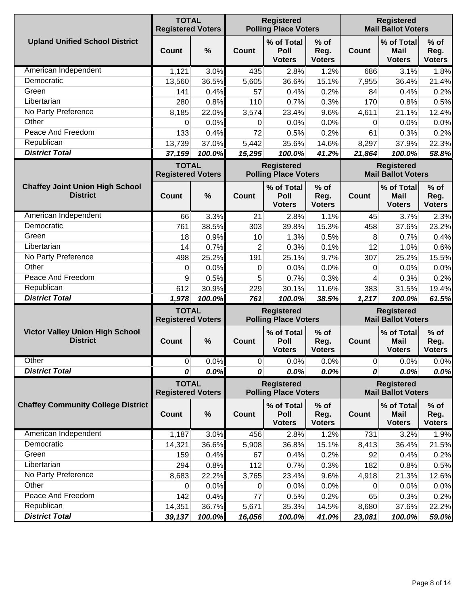|                                                           | <b>TOTAL</b><br><b>Registered Voters</b> |        |                                                  | <b>Registered</b><br><b>Polling Place Voters</b> |                                 |                                                | <b>Registered</b><br><b>Mail Ballot Voters</b> |                                 |  |
|-----------------------------------------------------------|------------------------------------------|--------|--------------------------------------------------|--------------------------------------------------|---------------------------------|------------------------------------------------|------------------------------------------------|---------------------------------|--|
| <b>Upland Unified School District</b>                     | Count                                    | $\%$   | Count                                            | % of Total<br>Poll<br><b>Voters</b>              | $%$ of<br>Reg.<br><b>Voters</b> | <b>Count</b>                                   | % of Total<br><b>Mail</b><br><b>Voters</b>     | $%$ of<br>Reg.<br><b>Voters</b> |  |
| American Independent                                      | 1,121                                    | 3.0%   | 435                                              | 2.8%                                             | 1.2%                            | 686                                            | 3.1%                                           | 1.8%                            |  |
| Democratic                                                | 13,560                                   | 36.5%  | 5,605                                            | 36.6%                                            | 15.1%                           | 7,955                                          | 36.4%                                          | 21.4%                           |  |
| Green                                                     | 141                                      | 0.4%   | 57                                               | 0.4%                                             | 0.2%                            | 84                                             | 0.4%                                           | 0.2%                            |  |
| Libertarian                                               | 280                                      | 0.8%   | 110                                              | 0.7%                                             | 0.3%                            | 170                                            | 0.8%                                           | 0.5%                            |  |
| No Party Preference                                       | 8,185                                    | 22.0%  | 3,574                                            | 23.4%                                            | 9.6%                            | 4,611                                          | 21.1%                                          | 12.4%                           |  |
| Other                                                     | 0                                        | 0.0%   | 0                                                | 0.0%                                             | 0.0%                            | 0                                              | 0.0%                                           | 0.0%                            |  |
| Peace And Freedom                                         | 133                                      | 0.4%   | 72                                               | 0.5%                                             | 0.2%                            | 61                                             | 0.3%                                           | 0.2%                            |  |
| Republican                                                | 13,739                                   | 37.0%  | 5,442                                            | 35.6%                                            | 14.6%                           | 8,297                                          | 37.9%                                          | 22.3%                           |  |
| <b>District Total</b>                                     | 37,159                                   | 100.0% | 15,295                                           | 100.0%                                           | 41.2%                           | 21,864                                         | 100.0%                                         | 58.8%                           |  |
|                                                           | <b>TOTAL</b><br><b>Registered Voters</b> |        |                                                  | <b>Registered</b><br><b>Polling Place Voters</b> |                                 |                                                | <b>Registered</b><br><b>Mail Ballot Voters</b> |                                 |  |
| <b>Chaffey Joint Union High School</b><br><b>District</b> | Count                                    | $\%$   | Count                                            | % of Total<br>Poll<br><b>Voters</b>              | $%$ of<br>Reg.<br><b>Voters</b> | <b>Count</b>                                   | % of Total<br>Mail<br><b>Voters</b>            | $%$ of<br>Reg.<br><b>Voters</b> |  |
| American Independent                                      | 66                                       | 3.3%   | 21                                               | 2.8%                                             | 1.1%                            | 45                                             | 3.7%                                           | 2.3%                            |  |
| Democratic                                                | 761                                      | 38.5%  | 303                                              | 39.8%                                            | 15.3%                           | 458                                            | 37.6%                                          | 23.2%                           |  |
| Green                                                     | 18                                       | 0.9%   | 10                                               | 1.3%                                             | 0.5%                            | 8                                              | 0.7%                                           | 0.4%                            |  |
| Libertarian                                               | 14                                       | 0.7%   | $\overline{2}$                                   | 0.3%                                             | 0.1%                            | 12                                             | 1.0%                                           | 0.6%                            |  |
| No Party Preference                                       | 498                                      | 25.2%  | 191                                              | 25.1%                                            | 9.7%                            | 307                                            | 25.2%                                          | 15.5%                           |  |
| Other                                                     | 0                                        | 0.0%   | 0                                                | 0.0%                                             | 0.0%                            | 0                                              | 0.0%                                           | 0.0%                            |  |
| Peace And Freedom                                         | 9                                        | 0.5%   | 5                                                | 0.7%                                             | 0.3%                            | 4                                              | 0.3%                                           | 0.2%                            |  |
| Republican                                                | 612                                      | 30.9%  | 229                                              | 30.1%                                            | 11.6%                           | 383                                            | 31.5%                                          | 19.4%                           |  |
| <b>District Total</b>                                     | 1,978                                    | 100.0% | 761                                              | 100.0%                                           | 38.5%                           | 1,217                                          | 100.0%                                         | 61.5%                           |  |
|                                                           | <b>TOTAL</b><br><b>Registered Voters</b> |        | <b>Registered</b><br><b>Polling Place Voters</b> |                                                  |                                 | <b>Registered</b><br><b>Mail Ballot Voters</b> |                                                |                                 |  |
| <b>Victor Valley Union High School</b><br><b>District</b> | Count                                    | %      | Count                                            | % of Total<br>Poll<br><b>Voters</b>              | $%$ of<br>Reg.<br><b>Voters</b> | Count                                          | % of Total<br><b>Mail</b><br><b>Voters</b>     | $%$ of<br>Reg.<br><b>Voters</b> |  |
| Other                                                     | $\overline{0}$                           | 0.0%   | $\overline{0}$                                   | 0.0%                                             | 0.0%                            | $\overline{0}$                                 | 0.0%                                           | 0.0%                            |  |
| <b>District Total</b>                                     | 0                                        | 0.0%   | 0                                                | 0.0%                                             | 0.0%                            | 0                                              | 0.0%                                           | 0.0%                            |  |
|                                                           | <b>TOTAL</b><br><b>Registered Voters</b> |        |                                                  | <b>Registered</b><br><b>Polling Place Voters</b> |                                 |                                                | <b>Registered</b><br><b>Mail Ballot Voters</b> |                                 |  |
| <b>Chaffey Community College District</b>                 | <b>Count</b>                             | $\%$   | Count                                            | % of Total<br>Poll<br><b>Voters</b>              | $%$ of<br>Reg.<br><b>Voters</b> | <b>Count</b>                                   | % of Total<br>Mail<br><b>Voters</b>            | $%$ of<br>Reg.<br><b>Voters</b> |  |
| American Independent                                      | 1,187                                    | 3.0%   | 456                                              | 2.8%                                             | 1.2%                            | 731                                            | 3.2%                                           | 1.9%                            |  |
| Democratic                                                | 14,321                                   | 36.6%  | 5,908                                            | 36.8%                                            | 15.1%                           | 8,413                                          | 36.4%                                          | 21.5%                           |  |
| Green                                                     | 159                                      | 0.4%   | 67                                               | 0.4%                                             | 0.2%                            | 92                                             | 0.4%                                           | 0.2%                            |  |
| Libertarian                                               | 294                                      | 0.8%   | 112                                              | 0.7%                                             | 0.3%                            | 182                                            | 0.8%                                           | 0.5%                            |  |
| No Party Preference                                       | 8,683                                    | 22.2%  | 3,765                                            | 23.4%                                            | 9.6%                            | 4,918                                          | 21.3%                                          | 12.6%                           |  |
| Other                                                     | 0                                        | 0.0%   | 0                                                | 0.0%                                             | 0.0%                            | 0                                              | 0.0%                                           | 0.0%                            |  |
| Peace And Freedom                                         | 142                                      | 0.4%   | 77                                               | 0.5%                                             | 0.2%                            | 65                                             | 0.3%                                           | 0.2%                            |  |
| Republican                                                | 14,351                                   | 36.7%  | 5,671                                            | 35.3%                                            | 14.5%                           | 8,680                                          | 37.6%                                          | 22.2%                           |  |
| <b>District Total</b>                                     | 39,137                                   | 100.0% | 16,056                                           | 100.0%                                           | 41.0%                           | 23,081                                         | 100.0%                                         | 59.0%                           |  |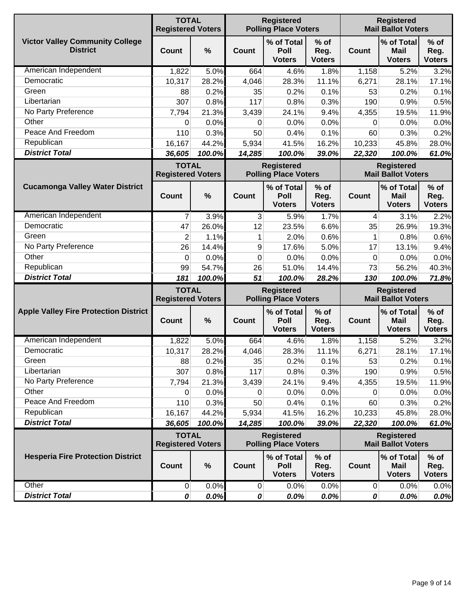|                                                           | <b>TOTAL</b><br><b>Registered Voters</b> |               | <b>Registered</b><br><b>Polling Place Voters</b> |                                                  |                                 |              | <b>Registered</b><br><b>Mail Ballot Voters</b> |                                 |  |  |
|-----------------------------------------------------------|------------------------------------------|---------------|--------------------------------------------------|--------------------------------------------------|---------------------------------|--------------|------------------------------------------------|---------------------------------|--|--|
| <b>Victor Valley Community College</b><br><b>District</b> | <b>Count</b>                             | %             | <b>Count</b>                                     | % of Total<br>Poll<br><b>Voters</b>              | $%$ of<br>Reg.<br><b>Voters</b> | <b>Count</b> | % of Total<br><b>Mail</b><br><b>Voters</b>     | $%$ of<br>Reg.<br><b>Voters</b> |  |  |
| American Independent                                      | 1,822                                    | 5.0%          | 664                                              | 4.6%                                             | 1.8%                            | 1,158        | 5.2%                                           | 3.2%                            |  |  |
| Democratic                                                | 10,317                                   | 28.2%         | 4,046                                            | 28.3%                                            | 11.1%                           | 6,271        | 28.1%                                          | 17.1%                           |  |  |
| Green                                                     | 88                                       | 0.2%          | 35                                               | 0.2%                                             | 0.1%                            | 53           | 0.2%                                           | 0.1%                            |  |  |
| Libertarian                                               | 307                                      | 0.8%          | 117                                              | 0.8%                                             | 0.3%                            | 190          | 0.9%                                           | 0.5%                            |  |  |
| No Party Preference                                       | 7,794                                    | 21.3%         | 3,439                                            | 24.1%                                            | 9.4%                            | 4,355        | 19.5%                                          | 11.9%                           |  |  |
| Other                                                     | 0                                        | 0.0%          | 0                                                | 0.0%                                             | 0.0%                            | 0            | 0.0%                                           | 0.0%                            |  |  |
| Peace And Freedom                                         | 110                                      | 0.3%          | 50                                               | 0.4%                                             | 0.1%                            | 60           | 0.3%                                           | 0.2%                            |  |  |
| Republican                                                | 16,167                                   | 44.2%         | 5,934                                            | 41.5%                                            | 16.2%                           | 10,233       | 45.8%                                          | 28.0%                           |  |  |
| <b>District Total</b>                                     | 36,605                                   | 100.0%        | 14,285                                           | 100.0%                                           | 39.0%                           | 22,320       | 100.0%                                         | 61.0%                           |  |  |
|                                                           | <b>TOTAL</b><br><b>Registered Voters</b> |               |                                                  | <b>Registered</b><br><b>Polling Place Voters</b> |                                 |              | <b>Registered</b><br><b>Mail Ballot Voters</b> |                                 |  |  |
| <b>Cucamonga Valley Water District</b>                    | <b>Count</b>                             | %             | <b>Count</b>                                     | % of Total<br>Poll<br><b>Voters</b>              | $%$ of<br>Reg.<br><b>Voters</b> | <b>Count</b> | % of Total<br><b>Mail</b><br><b>Voters</b>     | $%$ of<br>Reg.<br><b>Voters</b> |  |  |
| American Independent                                      | 7                                        | 3.9%          | 3                                                | 5.9%                                             | 1.7%                            | 4            | 3.1%                                           | 2.2%                            |  |  |
| Democratic                                                | 47                                       | 26.0%         | 12                                               | 23.5%                                            | 6.6%                            | 35           | 26.9%                                          | 19.3%                           |  |  |
| Green                                                     | $\overline{2}$                           | 1.1%          | 1                                                | 2.0%                                             | 0.6%                            | 1            | 0.8%                                           | 0.6%                            |  |  |
| No Party Preference                                       | 26                                       | 14.4%         | 9                                                | 17.6%                                            | 5.0%                            | 17           | 13.1%                                          | 9.4%                            |  |  |
| Other                                                     | 0                                        | 0.0%          | 0                                                | 0.0%                                             | 0.0%                            | 0            | 0.0%                                           | 0.0%                            |  |  |
| Republican                                                | 99                                       | 54.7%         | 26                                               | 51.0%                                            | 14.4%                           | 73           | 56.2%                                          | 40.3%                           |  |  |
| <b>District Total</b>                                     | 181                                      | 100.0%        | 51                                               | 100.0%                                           | 28.2%                           | 130          | 100.0%                                         | 71.8%                           |  |  |
|                                                           | <b>TOTAL</b><br><b>Registered Voters</b> |               |                                                  | <b>Registered</b><br><b>Polling Place Voters</b> |                                 |              | <b>Registered</b><br><b>Mail Ballot Voters</b> |                                 |  |  |
|                                                           |                                          |               |                                                  |                                                  |                                 |              |                                                |                                 |  |  |
| <b>Apple Valley Fire Protection District</b>              | <b>Count</b>                             | $\frac{0}{0}$ | <b>Count</b>                                     | % of Total<br>Poll<br><b>Voters</b>              | $%$ of<br>Reg.<br><b>Voters</b> | <b>Count</b> | % of Total<br><b>Mail</b><br><b>Voters</b>     | $%$ of<br>Reg.<br><b>Voters</b> |  |  |
| American Independent                                      | 1,822                                    | 5.0%          | 664                                              | 4.6%                                             | 1.8%                            | 1,158        | 5.2%                                           | 3.2%                            |  |  |
| Democratic                                                | 10,317                                   | 28.2%         | 4,046                                            | 28.3%                                            | 11.1%                           | 6,271        | 28.1%                                          | 17.1%                           |  |  |
| Green                                                     | 88                                       | 0.2%          | 35                                               | 0.2%                                             | 0.1%                            | 53           | 0.2%                                           | 0.1%                            |  |  |
| Libertarian                                               | 307                                      | 0.8%          | 117                                              | 0.8%                                             | 0.3%                            | 190          | 0.9%                                           | 0.5%                            |  |  |
| No Party Preference                                       | 7,794                                    | 21.3%         | 3,439                                            | 24.1%                                            | 9.4%                            | 4,355        | 19.5%                                          | 11.9%                           |  |  |
| Other                                                     | 0                                        | 0.0%          | 0                                                | 0.0%                                             | 0.0%                            | 0            | 0.0%                                           | 0.0%                            |  |  |
| Peace And Freedom                                         | 110                                      | 0.3%          | 50                                               | 0.4%                                             | 0.1%                            | 60           | 0.3%                                           | 0.2%                            |  |  |
| Republican                                                | 16,167                                   | 44.2%         | 5,934                                            | 41.5%                                            | 16.2%                           | 10,233       | 45.8%                                          | 28.0%                           |  |  |
| <b>District Total</b>                                     | 36,605                                   | 100.0%        | 14,285                                           | 100.0%                                           | 39.0%                           | 22,320       | 100.0%                                         | 61.0%                           |  |  |
|                                                           | <b>TOTAL</b><br><b>Registered Voters</b> |               |                                                  | <b>Registered</b><br><b>Polling Place Voters</b> |                                 |              | <b>Registered</b><br><b>Mail Ballot Voters</b> |                                 |  |  |
| <b>Hesperia Fire Protection District</b>                  | Count                                    | %             | <b>Count</b>                                     | % of Total<br>Poll<br><b>Voters</b>              | $%$ of<br>Reg.<br><b>Voters</b> | <b>Count</b> | % of Total<br><b>Mail</b><br><b>Voters</b>     | $%$ of<br>Reg.<br><b>Voters</b> |  |  |
| Other                                                     | $\overline{0}$                           | 0.0%          | $\vert 0 \vert$                                  | 0.0%                                             | 0.0%                            | 0            | 0.0%                                           | 0.0%                            |  |  |
| <b>District Total</b>                                     | 0                                        | 0.0%          | 0                                                | 0.0%                                             | 0.0%                            | 0            | 0.0%                                           | 0.0%                            |  |  |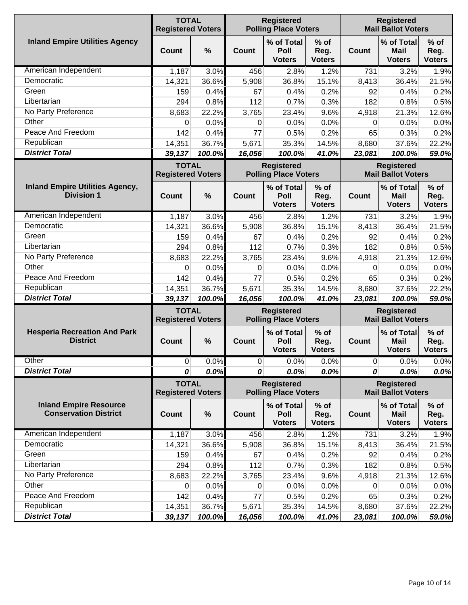|                                                               | <b>TOTAL</b><br><b>Registered Voters</b> |        |                | <b>Registered</b><br><b>Polling Place Voters</b> |                                 |                                                | <b>Registered</b><br><b>Mail Ballot Voters</b> |                                 |  |  |
|---------------------------------------------------------------|------------------------------------------|--------|----------------|--------------------------------------------------|---------------------------------|------------------------------------------------|------------------------------------------------|---------------------------------|--|--|
| <b>Inland Empire Utilities Agency</b>                         | Count                                    | $\%$   | Count          | % of Total<br>Poll<br><b>Voters</b>              | $%$ of<br>Reg.<br><b>Voters</b> | <b>Count</b>                                   | % of Total<br><b>Mail</b><br><b>Voters</b>     | $%$ of<br>Reg.<br><b>Voters</b> |  |  |
| American Independent                                          | 1,187                                    | 3.0%   | 456            | 2.8%                                             | 1.2%                            | 731                                            | 3.2%                                           | 1.9%                            |  |  |
| Democratic                                                    | 14,321                                   | 36.6%  | 5,908          | 36.8%                                            | 15.1%                           | 8,413                                          | 36.4%                                          | 21.5%                           |  |  |
| Green                                                         | 159                                      | 0.4%   | 67             | 0.4%                                             | 0.2%                            | 92                                             | 0.4%                                           | 0.2%                            |  |  |
| Libertarian                                                   | 294                                      | 0.8%   | 112            | 0.7%                                             | 0.3%                            | 182                                            | 0.8%                                           | 0.5%                            |  |  |
| No Party Preference                                           | 8,683                                    | 22.2%  | 3,765          | 23.4%                                            | 9.6%                            | 4,918                                          | 21.3%                                          | 12.6%                           |  |  |
| Other                                                         | 0                                        | 0.0%   | 0              | 0.0%                                             | 0.0%                            | 0                                              | 0.0%                                           | 0.0%                            |  |  |
| Peace And Freedom                                             | 142                                      | 0.4%   | 77             | 0.5%                                             | 0.2%                            | 65                                             | 0.3%                                           | 0.2%                            |  |  |
| Republican                                                    | 14,351                                   | 36.7%  | 5,671          | 35.3%                                            | 14.5%                           | 8,680                                          | 37.6%                                          | 22.2%                           |  |  |
| <b>District Total</b>                                         | 39,137                                   | 100.0% | 16,056         | 100.0%                                           | 41.0%                           | 23,081                                         | 100.0%                                         | 59.0%                           |  |  |
|                                                               | <b>TOTAL</b><br><b>Registered Voters</b> |        |                | <b>Registered</b><br><b>Polling Place Voters</b> |                                 |                                                | <b>Registered</b><br><b>Mail Ballot Voters</b> |                                 |  |  |
| <b>Inland Empire Utilities Agency,</b><br><b>Division 1</b>   | Count                                    | $\%$   | Count          | % of Total<br>Poll<br><b>Voters</b>              | $%$ of<br>Reg.<br><b>Voters</b> | <b>Count</b>                                   | % of Total<br>Mail<br><b>Voters</b>            | $%$ of<br>Reg.<br><b>Voters</b> |  |  |
| American Independent                                          | 1,187                                    | 3.0%   | 456            | 2.8%                                             | 1.2%                            | 731                                            | 3.2%                                           | 1.9%                            |  |  |
| Democratic                                                    | 14,321                                   | 36.6%  | 5,908          | 36.8%                                            | 15.1%                           | 8,413                                          | 36.4%                                          | 21.5%                           |  |  |
| Green                                                         | 159                                      | 0.4%   | 67             | 0.4%                                             | 0.2%                            | 92                                             | 0.4%                                           | 0.2%                            |  |  |
| Libertarian                                                   | 294                                      | 0.8%   | 112            | 0.7%                                             | 0.3%                            | 182                                            | 0.8%                                           | 0.5%                            |  |  |
| No Party Preference                                           | 8,683                                    | 22.2%  | 3,765          | 23.4%                                            | 9.6%                            | 4,918                                          | 21.3%                                          | 12.6%                           |  |  |
| Other                                                         | 0                                        | 0.0%   | $\Omega$       | 0.0%                                             | 0.0%                            | 0                                              | 0.0%                                           | 0.0%                            |  |  |
| Peace And Freedom                                             | 142                                      | 0.4%   | 77             | 0.5%                                             | 0.2%                            | 65                                             | 0.3%                                           | 0.2%                            |  |  |
| Republican                                                    | 14,351                                   | 36.7%  | 5,671          | 35.3%                                            | 14.5%                           | 8,680                                          | 37.6%                                          | 22.2%                           |  |  |
| <b>District Total</b>                                         | 39,137                                   | 100.0% | 16,056         | 100.0%                                           | 41.0%                           | 23,081                                         | 100.0%                                         | 59.0%                           |  |  |
|                                                               | <b>TOTAL</b><br><b>Registered Voters</b> |        |                | <b>Registered</b><br><b>Polling Place Voters</b> |                                 | <b>Registered</b><br><b>Mail Ballot Voters</b> |                                                |                                 |  |  |
| <b>Hesperia Recreation And Park</b><br><b>District</b>        | Count                                    | %      | Count          | % of Total<br>Poll<br><b>Voters</b>              | $%$ of<br>Reg.<br><b>Voters</b> | Count                                          | % of Total<br><b>Mail</b><br><b>Voters</b>     | $%$ of<br>Reg.<br><b>Voters</b> |  |  |
| Other                                                         | $\overline{0}$                           | 0.0%   | $\overline{0}$ | 0.0%                                             | 0.0%                            | $\overline{0}$                                 | 0.0%                                           | 0.0%                            |  |  |
| <b>District Total</b>                                         | 0                                        | 0.0%   | 0              | 0.0%                                             | 0.0%                            | 0                                              | 0.0%                                           | 0.0%                            |  |  |
|                                                               | <b>TOTAL</b><br><b>Registered Voters</b> |        |                | <b>Registered</b><br><b>Polling Place Voters</b> |                                 |                                                | <b>Registered</b><br><b>Mail Ballot Voters</b> |                                 |  |  |
| <b>Inland Empire Resource</b><br><b>Conservation District</b> | <b>Count</b>                             | $\%$   | Count          | % of Total<br>Poll<br><b>Voters</b>              | $%$ of<br>Reg.<br><b>Voters</b> | <b>Count</b>                                   | % of Total<br>Mail<br><b>Voters</b>            | $%$ of<br>Reg.<br><b>Voters</b> |  |  |
| American Independent                                          | 1,187                                    | 3.0%   | 456            | 2.8%                                             | 1.2%                            | 731                                            | 3.2%                                           | 1.9%                            |  |  |
| Democratic                                                    | 14,321                                   | 36.6%  | 5,908          | 36.8%                                            | 15.1%                           | 8,413                                          | 36.4%                                          | 21.5%                           |  |  |
| Green                                                         | 159                                      | 0.4%   | 67             | 0.4%                                             | 0.2%                            | 92                                             | 0.4%                                           | 0.2%                            |  |  |
| Libertarian                                                   | 294                                      | 0.8%   | 112            | 0.7%                                             | 0.3%                            | 182                                            | 0.8%                                           | 0.5%                            |  |  |
| No Party Preference                                           | 8,683                                    | 22.2%  | 3,765          | 23.4%                                            | 9.6%                            | 4,918                                          | 21.3%                                          | 12.6%                           |  |  |
| Other                                                         | 0                                        | 0.0%   | 0              | 0.0%                                             | 0.0%                            | 0                                              | 0.0%                                           | 0.0%                            |  |  |
| Peace And Freedom                                             | 142                                      | 0.4%   | 77             | 0.5%                                             | 0.2%                            | 65                                             | 0.3%                                           | 0.2%                            |  |  |
| Republican                                                    | 14,351                                   | 36.7%  | 5,671          | 35.3%                                            | 14.5%                           | 8,680                                          | 37.6%                                          | 22.2%                           |  |  |
| <b>District Total</b>                                         | 39,137                                   | 100.0% | 16,056         | 100.0%                                           | 41.0%                           | 23,081                                         | 100.0%                                         | 59.0%                           |  |  |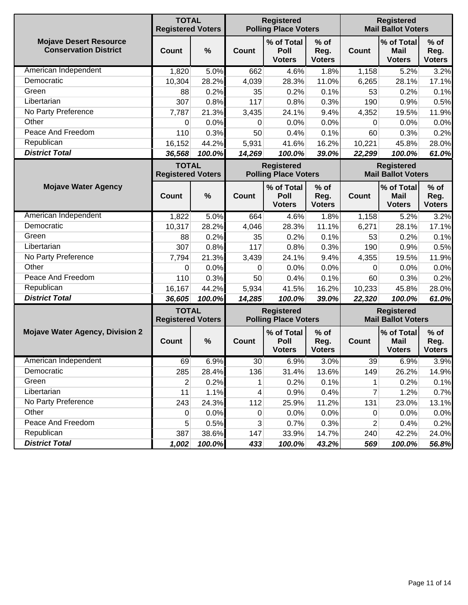|                                                               | <b>TOTAL</b><br><b>Registered Voters</b> |               |             | <b>Registered</b><br><b>Polling Place Voters</b> |                                 |              | <b>Registered</b><br><b>Mail Ballot Voters</b> |                                 |
|---------------------------------------------------------------|------------------------------------------|---------------|-------------|--------------------------------------------------|---------------------------------|--------------|------------------------------------------------|---------------------------------|
| <b>Mojave Desert Resource</b><br><b>Conservation District</b> | Count                                    | $\frac{0}{0}$ | Count       | % of Total<br>Poll<br><b>Voters</b>              | $%$ of<br>Reg.<br><b>Voters</b> | Count        | % of Total<br>Mail<br><b>Voters</b>            | $%$ of<br>Reg.<br><b>Voters</b> |
| American Independent                                          | 1,820                                    | 5.0%          | 662         | 4.6%                                             | 1.8%                            | 1,158        | 5.2%                                           | 3.2%                            |
| Democratic                                                    | 10,304                                   | 28.2%         | 4,039       | 28.3%                                            | 11.0%                           | 6,265        | 28.1%                                          | 17.1%                           |
| Green                                                         | 88                                       | 0.2%          | 35          | 0.2%                                             | 0.1%                            | 53           | 0.2%                                           | 0.1%                            |
| Libertarian                                                   | 307                                      | 0.8%          | 117         | 0.8%                                             | 0.3%                            | 190          | 0.9%                                           | 0.5%                            |
| No Party Preference                                           | 7,787                                    | 21.3%         | 3,435       | 24.1%                                            | 9.4%                            | 4,352        | 19.5%                                          | 11.9%                           |
| Other                                                         | 0                                        | 0.0%          | 0           | 0.0%                                             | 0.0%                            | 0            | 0.0%                                           | 0.0%                            |
| Peace And Freedom                                             | 110                                      | 0.3%          | 50          | 0.4%                                             | 0.1%                            | 60           | 0.3%                                           | 0.2%                            |
| Republican                                                    | 16,152                                   | 44.2%         | 5,931       | 41.6%                                            | 16.2%                           | 10,221       | 45.8%                                          | 28.0%                           |
| <b>District Total</b>                                         | 36,568                                   | 100.0%        | 14,269      | 100.0%                                           | 39.0%                           | 22,299       | 100.0%                                         | 61.0%                           |
|                                                               | <b>TOTAL</b><br><b>Registered Voters</b> |               |             | <b>Registered</b><br><b>Polling Place Voters</b> |                                 |              | <b>Registered</b><br><b>Mail Ballot Voters</b> |                                 |
| <b>Mojave Water Agency</b>                                    | <b>Count</b>                             | $\frac{0}{0}$ | Count       | % of Total<br>Poll<br><b>Voters</b>              | $%$ of<br>Reg.<br><b>Voters</b> | <b>Count</b> | % of Total<br><b>Mail</b><br><b>Voters</b>     | $%$ of<br>Reg.<br><b>Voters</b> |
| American Independent                                          | 1,822                                    | 5.0%          | 664         | 4.6%                                             | 1.8%                            | 1,158        | 5.2%                                           | 3.2%                            |
| Democratic                                                    | 10,317                                   | 28.2%         | 4,046       | 28.3%                                            | 11.1%                           | 6,271        | 28.1%                                          | 17.1%                           |
| Green                                                         | 88                                       | 0.2%          | 35          | 0.2%                                             | 0.1%                            | 53           | 0.2%                                           | 0.1%                            |
| Libertarian                                                   | 307                                      | 0.8%          | 117         | 0.8%                                             | 0.3%                            | 190          | 0.9%                                           | 0.5%                            |
| No Party Preference                                           | 7,794                                    | 21.3%         | 3,439       | 24.1%                                            | 9.4%                            | 4,355        | 19.5%                                          | 11.9%                           |
| Other                                                         | 0                                        | 0.0%          | 0           | 0.0%                                             | 0.0%                            | 0            | 0.0%                                           | 0.0%                            |
| Peace And Freedom                                             | 110                                      | 0.3%          | 50          | 0.4%                                             | 0.1%                            | 60           | 0.3%                                           | 0.2%                            |
| Republican                                                    | 16,167                                   | 44.2%         | 5,934       | 41.5%                                            | 16.2%                           | 10,233       | 45.8%                                          | 28.0%                           |
| <b>District Total</b>                                         | 36,605                                   | 100.0%        | 14,285      | 100.0%                                           | 39.0%                           | 22,320       | 100.0%                                         | 61.0%                           |
|                                                               | <b>TOTAL</b><br><b>Registered Voters</b> |               |             | <b>Registered</b><br><b>Polling Place Voters</b> |                                 |              | <b>Registered</b><br><b>Mail Ballot Voters</b> |                                 |
| <b>Mojave Water Agency, Division 2</b>                        | Count                                    | $\frac{0}{0}$ | Count       | % of Total<br>Poll<br><b>Voters</b>              | $%$ of<br>Reg.<br><b>Voters</b> | <b>Count</b> | % of Total<br>Mail<br><b>Voters</b>            | $%$ of<br>Reg.<br><b>Voters</b> |
| American Independent                                          | 69                                       | 6.9%          | 30          | 6.9%                                             | 3.0%                            | 39           | 6.9%                                           | 3.9%                            |
| Democratic                                                    | 285                                      | 28.4%         | 136         | 31.4%                                            | 13.6%                           | 149          | 26.2%                                          | 14.9%                           |
| Green                                                         | $\overline{2}$                           | 0.2%          | 1           | 0.2%                                             | 0.1%                            | 1            | 0.2%                                           | 0.1%                            |
| Libertarian                                                   | 11                                       | 1.1%          | 4           | 0.9%                                             | 0.4%                            | 7            | 1.2%                                           | 0.7%                            |
| No Party Preference                                           | 243                                      | 24.3%         | 112         | 25.9%                                            | 11.2%                           | 131          | 23.0%                                          | 13.1%                           |
| Other                                                         | 0                                        | 0.0%          | $\mathbf 0$ | 0.0%                                             | 0.0%                            | 0            | 0.0%                                           | 0.0%                            |
| Peace And Freedom                                             | 5                                        | 0.5%          | 3           | 0.7%                                             | 0.3%                            | 2            | 0.4%                                           | 0.2%                            |
| Republican                                                    | 387                                      | 38.6%         | 147         | 33.9%                                            | 14.7%                           | 240          | 42.2%                                          | 24.0%                           |
| <b>District Total</b>                                         | 1,002                                    | 100.0%        | 433         | 100.0%                                           | 43.2%                           | 569          | 100.0%                                         | 56.8%                           |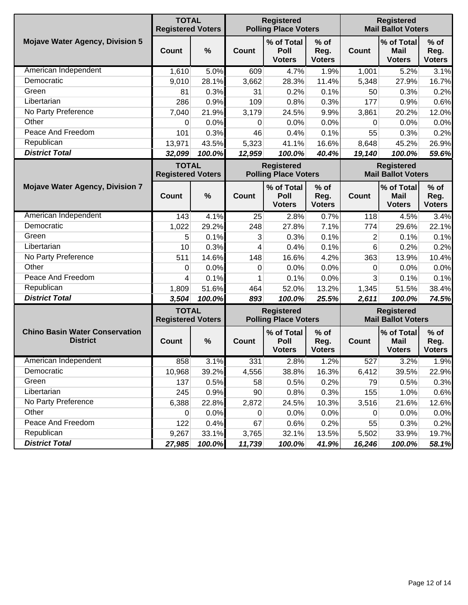|                                                          | <b>TOTAL</b><br><b>Registered Voters</b> |        |              | <b>Registered</b><br><b>Polling Place Voters</b> |                                 |              | <b>Registered</b><br><b>Mail Ballot Voters</b> |                                 |
|----------------------------------------------------------|------------------------------------------|--------|--------------|--------------------------------------------------|---------------------------------|--------------|------------------------------------------------|---------------------------------|
| <b>Mojave Water Agency, Division 5</b>                   | Count                                    | %      | Count        | % of Total<br>Poll<br><b>Voters</b>              | $%$ of<br>Reg.<br><b>Voters</b> | <b>Count</b> | % of Total<br><b>Mail</b><br><b>Voters</b>     | $%$ of<br>Reg.<br><b>Voters</b> |
| American Independent                                     | 1,610                                    | 5.0%   | 609          | 4.7%                                             | 1.9%                            | 1,001        | 5.2%                                           | 3.1%                            |
| Democratic                                               | 9,010                                    | 28.1%  | 3,662        | 28.3%                                            | 11.4%                           | 5,348        | 27.9%                                          | 16.7%                           |
| Green                                                    | 81                                       | 0.3%   | 31           | 0.2%                                             | 0.1%                            | 50           | 0.3%                                           | 0.2%                            |
| Libertarian                                              | 286                                      | 0.9%   | 109          | 0.8%                                             | 0.3%                            | 177          | 0.9%                                           | 0.6%                            |
| No Party Preference                                      | 7,040                                    | 21.9%  | 3,179        | 24.5%                                            | 9.9%                            | 3,861        | 20.2%                                          | 12.0%                           |
| Other                                                    | 0                                        | 0.0%   | 0            | 0.0%                                             | 0.0%                            | 0            | 0.0%                                           | 0.0%                            |
| Peace And Freedom                                        | 101                                      | 0.3%   | 46           | 0.4%                                             | 0.1%                            | 55           | 0.3%                                           | 0.2%                            |
| Republican                                               | 13,971                                   | 43.5%  | 5,323        | 41.1%                                            | 16.6%                           | 8,648        | 45.2%                                          | 26.9%                           |
| <b>District Total</b>                                    | 32,099                                   | 100.0% | 12,959       | 100.0%                                           | 40.4%                           | 19,140       | 100.0%                                         | 59.6%                           |
|                                                          | <b>TOTAL</b><br><b>Registered Voters</b> |        |              | <b>Registered</b><br><b>Polling Place Voters</b> |                                 |              | <b>Registered</b><br><b>Mail Ballot Voters</b> |                                 |
| <b>Mojave Water Agency, Division 7</b>                   | <b>Count</b>                             | %      | <b>Count</b> | % of Total<br>Poll<br><b>Voters</b>              | $%$ of<br>Reg.<br><b>Voters</b> | <b>Count</b> | % of Total<br><b>Mail</b><br><b>Voters</b>     | $%$ of<br>Reg.<br><b>Voters</b> |
| American Independent                                     | 143                                      | 4.1%   | 25           | 2.8%                                             | 0.7%                            | 118          | 4.5%                                           | 3.4%                            |
| Democratic                                               | 1,022                                    | 29.2%  | 248          | 27.8%                                            | 7.1%                            | 774          | 29.6%                                          | 22.1%                           |
| Green                                                    | 5                                        | 0.1%   | 3            | 0.3%                                             | 0.1%                            | 2            | 0.1%                                           | 0.1%                            |
| Libertarian                                              | 10                                       | 0.3%   | 4            | 0.4%                                             | 0.1%                            | 6            | 0.2%                                           | 0.2%                            |
| No Party Preference                                      | 511                                      | 14.6%  | 148          | 16.6%                                            | 4.2%                            | 363          | 13.9%                                          | 10.4%                           |
| Other                                                    | 0                                        | 0.0%   | 0            | 0.0%                                             | 0.0%                            | 0            | 0.0%                                           | 0.0%                            |
| Peace And Freedom                                        | 4                                        | 0.1%   | 1            | 0.1%                                             | 0.0%                            | 3            | 0.1%                                           | 0.1%                            |
| Republican                                               | 1,809                                    | 51.6%  | 464          | 52.0%                                            | 13.2%                           | 1,345        | 51.5%                                          | 38.4%                           |
| <b>District Total</b>                                    | 3,504                                    | 100.0% | 893          | 100.0%                                           | 25.5%                           | 2,611        | 100.0%                                         | 74.5%                           |
|                                                          | <b>TOTAL</b><br><b>Registered Voters</b> |        |              | <b>Registered</b><br><b>Polling Place Voters</b> |                                 |              | <b>Registered</b><br><b>Mail Ballot Voters</b> |                                 |
| <b>Chino Basin Water Conservation</b><br><b>District</b> | <b>Count</b>                             | %      | <b>Count</b> | % of Total<br>Poll<br><b>Voters</b>              | $%$ of<br>Reg.<br><b>Voters</b> | <b>Count</b> | % of Total<br><b>Mail</b><br><b>Voters</b>     | $%$ of<br>Reg.<br><b>Voters</b> |
| American Independent                                     | 858                                      | 3.1%   | 331          | 2.8%                                             | 1.2%                            | 527          | 3.2%                                           | 1.9%                            |
| Democratic                                               | 10,968                                   | 39.2%  | 4,556        | 38.8%                                            | 16.3%                           | 6,412        | 39.5%                                          | 22.9%                           |
| Green                                                    | 137                                      | 0.5%   | 58           | 0.5%                                             | 0.2%                            | 79           | 0.5%                                           | 0.3%                            |
| Libertarian                                              | 245                                      | 0.9%   | 90           | 0.8%                                             | 0.3%                            | 155          | 1.0%                                           | 0.6%                            |
| No Party Preference                                      | 6,388                                    | 22.8%  | 2,872        | 24.5%                                            | 10.3%                           | 3,516        | 21.6%                                          | 12.6%                           |
| Other                                                    | 0                                        | 0.0%   | 0            | 0.0%                                             | 0.0%                            | 0            | 0.0%                                           | 0.0%                            |
| Peace And Freedom                                        | 122                                      | 0.4%   | 67           | 0.6%                                             | 0.2%                            | 55           | 0.3%                                           | 0.2%                            |
| Republican                                               | 9,267                                    | 33.1%  | 3,765        | 32.1%                                            | 13.5%                           | 5,502        | 33.9%                                          | 19.7%                           |
| <b>District Total</b>                                    | 27,985                                   | 100.0% | 11,739       | 100.0%                                           | 41.9%                           | 16,246       | 100.0%                                         | 58.1%                           |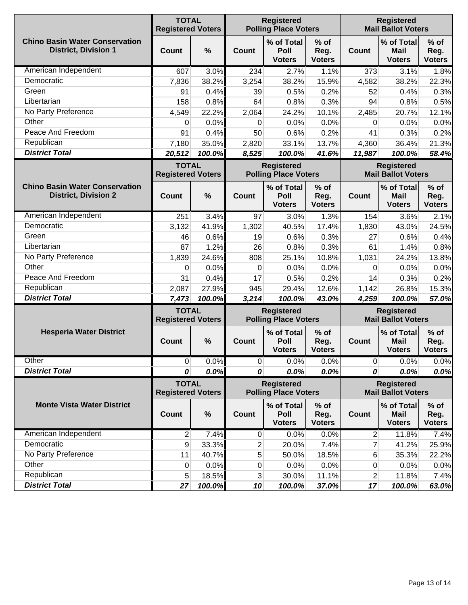|                                                                      | <b>TOTAL</b><br><b>Registered Voters</b> |        | <b>Registered</b><br><b>Polling Place Voters</b> |                                     |                                 | <b>Registered</b><br><b>Mail Ballot Voters</b> |                                            |                                 |
|----------------------------------------------------------------------|------------------------------------------|--------|--------------------------------------------------|-------------------------------------|---------------------------------|------------------------------------------------|--------------------------------------------|---------------------------------|
| <b>Chino Basin Water Conservation</b><br><b>District, Division 1</b> | Count                                    | %      | Count                                            | % of Total<br>Poll<br><b>Voters</b> | $%$ of<br>Reg.<br><b>Voters</b> | <b>Count</b>                                   | % of Total<br><b>Mail</b><br><b>Voters</b> | $%$ of<br>Reg.<br><b>Voters</b> |
| American Independent                                                 | 607                                      | 3.0%   | 234                                              | 2.7%                                | 1.1%                            | 373                                            | 3.1%                                       | 1.8%                            |
| Democratic                                                           | 7,836                                    | 38.2%  | 3,254                                            | 38.2%                               | 15.9%                           | 4,582                                          | 38.2%                                      | 22.3%                           |
| Green                                                                | 91                                       | 0.4%   | 39                                               | 0.5%                                | 0.2%                            | 52                                             | 0.4%                                       | 0.3%                            |
| Libertarian                                                          | 158                                      | 0.8%   | 64                                               | 0.8%                                | 0.3%                            | 94                                             | 0.8%                                       | 0.5%                            |
| No Party Preference                                                  | 4,549                                    | 22.2%  | 2,064                                            | 24.2%                               | 10.1%                           | 2,485                                          | 20.7%                                      | 12.1%                           |
| Other                                                                | 0                                        | 0.0%   | 0                                                | 0.0%                                | 0.0%                            | 0                                              | 0.0%                                       | 0.0%                            |
| Peace And Freedom                                                    | 91                                       | 0.4%   | 50                                               | 0.6%                                | 0.2%                            | 41                                             | 0.3%                                       | 0.2%                            |
| Republican                                                           | 7,180                                    | 35.0%  | 2,820                                            | 33.1%                               | 13.7%                           | 4,360                                          | 36.4%                                      | 21.3%                           |
| <b>District Total</b>                                                | 20,512                                   | 100.0% | 8,525                                            | 100.0%                              | 41.6%                           | 11,987                                         | 100.0%                                     | 58.4%                           |
|                                                                      | <b>TOTAL</b><br><b>Registered Voters</b> |        | <b>Registered</b><br><b>Polling Place Voters</b> |                                     |                                 | <b>Registered</b><br><b>Mail Ballot Voters</b> |                                            |                                 |
| <b>Chino Basin Water Conservation</b><br><b>District, Division 2</b> | <b>Count</b>                             | %      | Count                                            | % of Total<br>Poll<br><b>Voters</b> | $%$ of<br>Reg.<br><b>Voters</b> | <b>Count</b>                                   | % of Total<br><b>Mail</b><br><b>Voters</b> | $%$ of<br>Reg.<br><b>Voters</b> |
| American Independent                                                 | 251                                      | 3.4%   | 97                                               | 3.0%                                | 1.3%                            | 154                                            | 3.6%                                       | 2.1%                            |
| Democratic                                                           | 3,132                                    | 41.9%  | 1,302                                            | 40.5%                               | 17.4%                           | 1,830                                          | 43.0%                                      | 24.5%                           |
| Green                                                                | 46                                       | 0.6%   | 19                                               | 0.6%                                | 0.3%                            | 27                                             | 0.6%                                       | 0.4%                            |
| Libertarian                                                          | 87                                       | 1.2%   | 26                                               | 0.8%                                | 0.3%                            | 61                                             | 1.4%                                       | 0.8%                            |
| No Party Preference                                                  | 1,839                                    | 24.6%  | 808                                              | 25.1%                               | 10.8%                           | 1,031                                          | 24.2%                                      | 13.8%                           |
| Other                                                                | 0                                        | 0.0%   | 0                                                | 0.0%                                | 0.0%                            | 0                                              | 0.0%                                       | 0.0%                            |
| Peace And Freedom                                                    | 31                                       | 0.4%   | 17                                               | 0.5%                                | 0.2%                            | 14                                             | 0.3%                                       | 0.2%                            |
| Republican                                                           | 2,087                                    | 27.9%  | 945                                              | 29.4%                               | 12.6%                           | 1,142                                          | 26.8%                                      | 15.3%                           |
| <b>District Total</b>                                                | 7,473                                    | 100.0% | 3,214                                            | 100.0%                              | 43.0%                           | 4,259                                          | 100.0%                                     | 57.0%                           |
| <b>Hesperia Water District</b>                                       | <b>TOTAL</b><br><b>Registered Voters</b> |        | <b>Registered</b><br><b>Polling Place Voters</b> |                                     |                                 | <b>Registered</b><br><b>Mail Ballot Voters</b> |                                            |                                 |
|                                                                      | Count                                    | $\%$   | <b>Count</b>                                     | % of Total<br>Poll<br><b>Voters</b> | $%$ of<br>Reg.<br><b>Voters</b> | <b>Count</b>                                   | % of Total<br>Mail<br><b>Voters</b>        | $%$ of<br>Reg.<br><b>Voters</b> |
| Other                                                                | $\overline{0}$                           | 0.0%   | $\overline{0}$                                   | 0.0%                                | 0.0%                            | $\overline{0}$                                 | 0.0%                                       | 0.0%                            |
| <b>District Total</b>                                                | 0                                        | 0.0%   | 0                                                | 0.0%                                | 0.0%                            | 0                                              | 0.0%                                       | 0.0%                            |
| <b>Monte Vista Water District</b>                                    | <b>TOTAL</b><br><b>Registered Voters</b> |        | <b>Registered</b><br><b>Polling Place Voters</b> |                                     |                                 | <b>Registered</b><br><b>Mail Ballot Voters</b> |                                            |                                 |
|                                                                      | <b>Count</b>                             | $\%$   | Count                                            | % of Total<br>Poll<br><b>Voters</b> | $%$ of<br>Reg.<br><b>Voters</b> | <b>Count</b>                                   | % of Total<br><b>Mail</b><br><b>Voters</b> | $%$ of<br>Reg.<br><b>Voters</b> |
| American Independent                                                 | $\overline{2}$                           | 7.4%   | $\overline{0}$                                   | 0.0%                                | 0.0%                            | $2 \nvert$                                     | 11.8%                                      | 7.4%                            |
| Democratic                                                           | 9                                        | 33.3%  | 2                                                | 20.0%                               | 7.4%                            | 7                                              | 41.2%                                      | 25.9%                           |
| No Party Preference                                                  | 11                                       | 40.7%  | 5                                                | 50.0%                               | 18.5%                           | 6                                              | 35.3%                                      | 22.2%                           |
| Other                                                                | 0                                        | 0.0%   | 0                                                | 0.0%                                | 0.0%                            | 0                                              | 0.0%                                       | 0.0%                            |
| Republican                                                           | 5                                        | 18.5%  | 3                                                | 30.0%                               | 11.1%                           | 2                                              | 11.8%                                      | 7.4%                            |
| <b>District Total</b>                                                | 27                                       | 100.0% | 10                                               | 100.0%                              | 37.0%                           | 17                                             | 100.0%                                     | 63.0%                           |